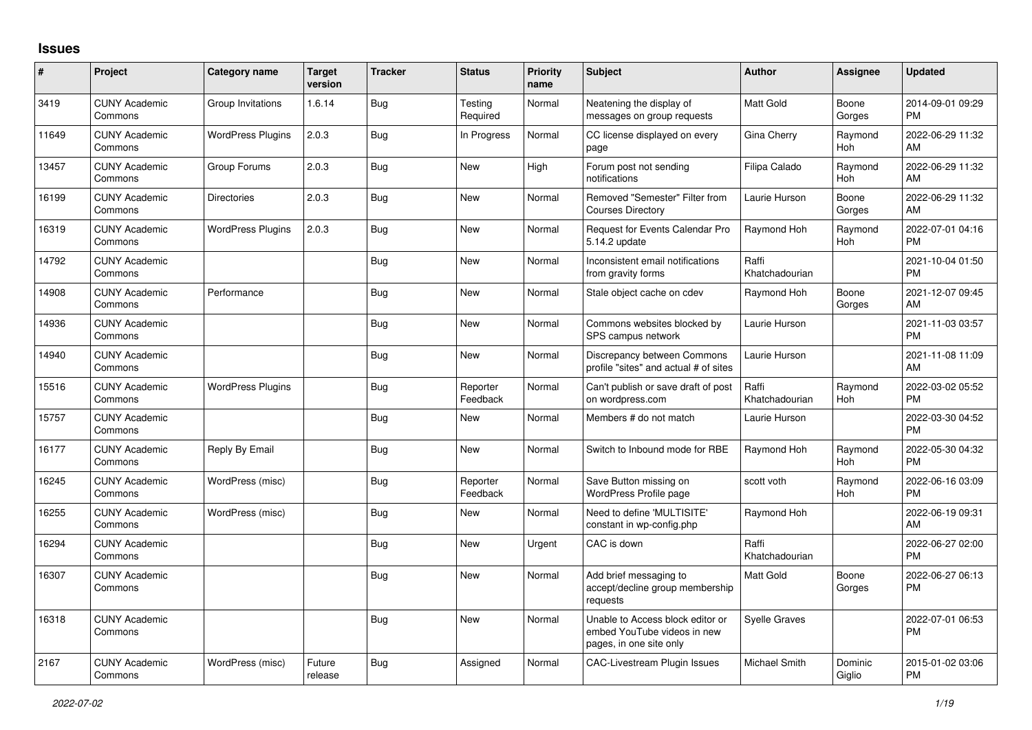## **Issues**

| #     | Project                         | <b>Category name</b>     | <b>Target</b><br>version | <b>Tracker</b> | <b>Status</b>        | <b>Priority</b><br>name | <b>Subject</b>                                                                             | <b>Author</b>           | <b>Assignee</b>       | <b>Updated</b>                |
|-------|---------------------------------|--------------------------|--------------------------|----------------|----------------------|-------------------------|--------------------------------------------------------------------------------------------|-------------------------|-----------------------|-------------------------------|
| 3419  | <b>CUNY Academic</b><br>Commons | Group Invitations        | 1.6.14                   | Bug            | Testing<br>Required  | Normal                  | Neatening the display of<br>messages on group requests                                     | <b>Matt Gold</b>        | Boone<br>Gorges       | 2014-09-01 09:29<br><b>PM</b> |
| 11649 | <b>CUNY Academic</b><br>Commons | <b>WordPress Plugins</b> | 2.0.3                    | Bug            | In Progress          | Normal                  | CC license displayed on every<br>page                                                      | Gina Cherry             | Raymond<br>Hoh        | 2022-06-29 11:32<br>AM        |
| 13457 | <b>CUNY Academic</b><br>Commons | Group Forums             | 2.0.3                    | Bug            | New                  | High                    | Forum post not sending<br>notifications                                                    | Filipa Calado           | Raymond<br>Hoh        | 2022-06-29 11:32<br>AM        |
| 16199 | <b>CUNY Academic</b><br>Commons | <b>Directories</b>       | 2.0.3                    | Bug            | New                  | Normal                  | Removed "Semester" Filter from<br><b>Courses Directory</b>                                 | Laurie Hurson           | Boone<br>Gorges       | 2022-06-29 11:32<br>AM        |
| 16319 | <b>CUNY Academic</b><br>Commons | <b>WordPress Plugins</b> | 2.0.3                    | <b>Bug</b>     | New                  | Normal                  | <b>Request for Events Calendar Pro</b><br>5.14.2 update                                    | Raymond Hoh             | Raymond<br>Hoh        | 2022-07-01 04:16<br><b>PM</b> |
| 14792 | <b>CUNY Academic</b><br>Commons |                          |                          | Bug            | <b>New</b>           | Normal                  | Inconsistent email notifications<br>from gravity forms                                     | Raffi<br>Khatchadourian |                       | 2021-10-04 01:50<br><b>PM</b> |
| 14908 | <b>CUNY Academic</b><br>Commons | Performance              |                          | Bug            | <b>New</b>           | Normal                  | Stale object cache on cdev                                                                 | Raymond Hoh             | Boone<br>Gorges       | 2021-12-07 09:45<br>AM        |
| 14936 | <b>CUNY Academic</b><br>Commons |                          |                          | Bug            | <b>New</b>           | Normal                  | Commons websites blocked by<br>SPS campus network                                          | Laurie Hurson           |                       | 2021-11-03 03:57<br><b>PM</b> |
| 14940 | <b>CUNY Academic</b><br>Commons |                          |                          | Bug            | New                  | Normal                  | Discrepancy between Commons<br>profile "sites" and actual # of sites                       | Laurie Hurson           |                       | 2021-11-08 11:09<br>AM        |
| 15516 | <b>CUNY Academic</b><br>Commons | <b>WordPress Plugins</b> |                          | Bug            | Reporter<br>Feedback | Normal                  | Can't publish or save draft of post<br>on wordpress.com                                    | Raffi<br>Khatchadourian | Raymond<br>Hoh        | 2022-03-02 05:52<br><b>PM</b> |
| 15757 | <b>CUNY Academic</b><br>Commons |                          |                          | Bug            | New                  | Normal                  | Members # do not match                                                                     | Laurie Hurson           |                       | 2022-03-30 04:52<br><b>PM</b> |
| 16177 | <b>CUNY Academic</b><br>Commons | Reply By Email           |                          | <b>Bug</b>     | <b>New</b>           | Normal                  | Switch to Inbound mode for RBE                                                             | Raymond Hoh             | Raymond<br>Hoh        | 2022-05-30 04:32<br><b>PM</b> |
| 16245 | <b>CUNY Academic</b><br>Commons | WordPress (misc)         |                          | <b>Bug</b>     | Reporter<br>Feedback | Normal                  | Save Button missing on<br><b>WordPress Profile page</b>                                    | scott voth              | Raymond<br><b>Hoh</b> | 2022-06-16 03:09<br><b>PM</b> |
| 16255 | <b>CUNY Academic</b><br>Commons | WordPress (misc)         |                          | Bug            | <b>New</b>           | Normal                  | Need to define 'MULTISITE'<br>constant in wp-config.php                                    | Raymond Hoh             |                       | 2022-06-19 09:31<br>AM        |
| 16294 | <b>CUNY Academic</b><br>Commons |                          |                          | Bug            | New                  | Urgent                  | CAC is down                                                                                | Raffi<br>Khatchadourian |                       | 2022-06-27 02:00<br><b>PM</b> |
| 16307 | <b>CUNY Academic</b><br>Commons |                          |                          | Bug            | New                  | Normal                  | Add brief messaging to<br>accept/decline group membership<br>requests                      | <b>Matt Gold</b>        | Boone<br>Gorges       | 2022-06-27 06:13<br>PM        |
| 16318 | <b>CUNY Academic</b><br>Commons |                          |                          | Bug            | New                  | Normal                  | Unable to Access block editor or<br>embed YouTube videos in new<br>pages, in one site only | <b>Syelle Graves</b>    |                       | 2022-07-01 06:53<br><b>PM</b> |
| 2167  | <b>CUNY Academic</b><br>Commons | WordPress (misc)         | Future<br>release        | Bug            | Assigned             | Normal                  | <b>CAC-Livestream Plugin Issues</b>                                                        | Michael Smith           | Dominic<br>Giglio     | 2015-01-02 03:06<br><b>PM</b> |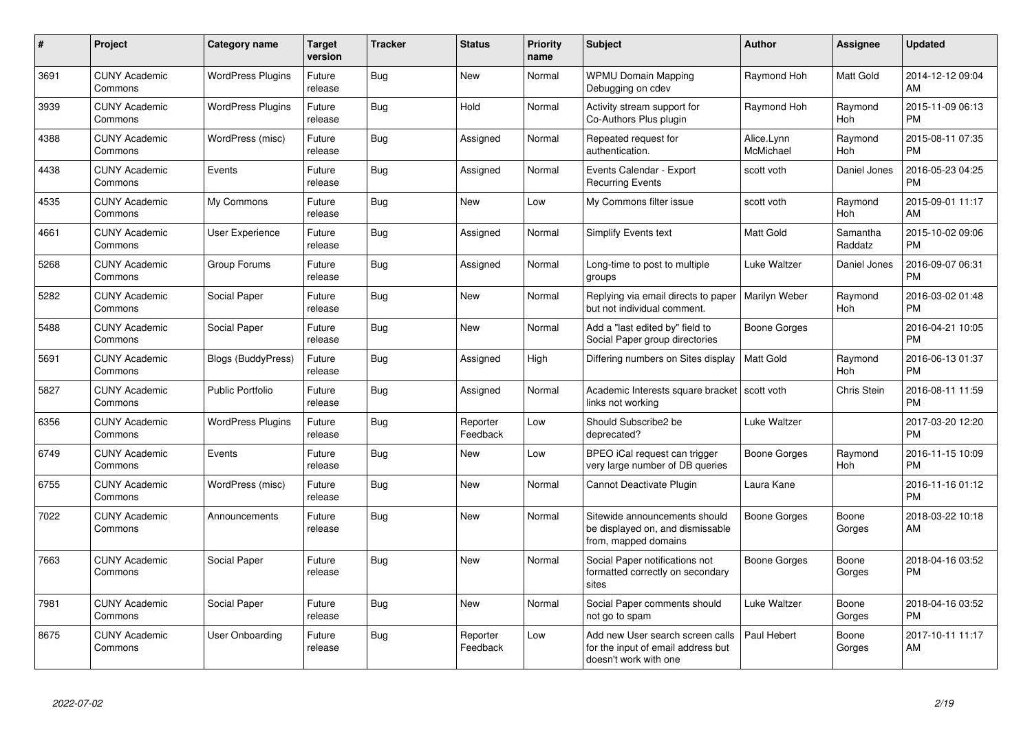| $\#$ | Project                         | <b>Category name</b>      | <b>Target</b><br>version | <b>Tracker</b> | <b>Status</b>        | <b>Priority</b><br>name | <b>Subject</b>                                                                                  | <b>Author</b>           | <b>Assignee</b>     | <b>Updated</b>                |
|------|---------------------------------|---------------------------|--------------------------|----------------|----------------------|-------------------------|-------------------------------------------------------------------------------------------------|-------------------------|---------------------|-------------------------------|
| 3691 | <b>CUNY Academic</b><br>Commons | <b>WordPress Plugins</b>  | Future<br>release        | Bug            | <b>New</b>           | Normal                  | <b>WPMU Domain Mapping</b><br>Debugging on cdev                                                 | Raymond Hoh             | Matt Gold           | 2014-12-12 09:04<br>AM        |
| 3939 | <b>CUNY Academic</b><br>Commons | <b>WordPress Plugins</b>  | Future<br>release        | Bug            | Hold                 | Normal                  | Activity stream support for<br>Co-Authors Plus plugin                                           | Raymond Hoh             | Raymond<br>Hoh      | 2015-11-09 06:13<br><b>PM</b> |
| 4388 | <b>CUNY Academic</b><br>Commons | WordPress (misc)          | Future<br>release        | Bug            | Assigned             | Normal                  | Repeated request for<br>authentication.                                                         | Alice.Lynn<br>McMichael | Raymond<br>Hoh      | 2015-08-11 07:35<br><b>PM</b> |
| 4438 | <b>CUNY Academic</b><br>Commons | Events                    | Future<br>release        | Bug            | Assigned             | Normal                  | Events Calendar - Export<br><b>Recurring Events</b>                                             | scott voth              | Daniel Jones        | 2016-05-23 04:25<br><b>PM</b> |
| 4535 | <b>CUNY Academic</b><br>Commons | My Commons                | Future<br>release        | Bug            | New                  | Low                     | My Commons filter issue                                                                         | scott voth              | Raymond<br>Hoh      | 2015-09-01 11:17<br>AM        |
| 4661 | <b>CUNY Academic</b><br>Commons | <b>User Experience</b>    | Future<br>release        | <b>Bug</b>     | Assigned             | Normal                  | <b>Simplify Events text</b>                                                                     | Matt Gold               | Samantha<br>Raddatz | 2015-10-02 09:06<br><b>PM</b> |
| 5268 | <b>CUNY Academic</b><br>Commons | Group Forums              | Future<br>release        | Bug            | Assigned             | Normal                  | Long-time to post to multiple<br>groups                                                         | Luke Waltzer            | Daniel Jones        | 2016-09-07 06:31<br><b>PM</b> |
| 5282 | <b>CUNY Academic</b><br>Commons | Social Paper              | Future<br>release        | Bug            | <b>New</b>           | Normal                  | Replying via email directs to paper<br>but not individual comment.                              | Marilyn Weber           | Raymond<br>Hoh      | 2016-03-02 01:48<br><b>PM</b> |
| 5488 | <b>CUNY Academic</b><br>Commons | Social Paper              | Future<br>release        | Bug            | New                  | Normal                  | Add a "last edited by" field to<br>Social Paper group directories                               | Boone Gorges            |                     | 2016-04-21 10:05<br><b>PM</b> |
| 5691 | <b>CUNY Academic</b><br>Commons | <b>Blogs (BuddyPress)</b> | Future<br>release        | <b>Bug</b>     | Assigned             | High                    | Differing numbers on Sites display                                                              | <b>Matt Gold</b>        | Raymond<br>Hoh      | 2016-06-13 01:37<br><b>PM</b> |
| 5827 | <b>CUNY Academic</b><br>Commons | <b>Public Portfolio</b>   | Future<br>release        | Bug            | Assigned             | Normal                  | Academic Interests square bracket<br>links not working                                          | scott voth              | Chris Stein         | 2016-08-11 11:59<br><b>PM</b> |
| 6356 | <b>CUNY Academic</b><br>Commons | <b>WordPress Plugins</b>  | Future<br>release        | Bug            | Reporter<br>Feedback | Low                     | Should Subscribe2 be<br>deprecated?                                                             | Luke Waltzer            |                     | 2017-03-20 12:20<br><b>PM</b> |
| 6749 | <b>CUNY Academic</b><br>Commons | Events                    | Future<br>release        | Bug            | <b>New</b>           | Low                     | BPEO iCal request can trigger<br>very large number of DB queries                                | <b>Boone Gorges</b>     | Raymond<br>Hoh      | 2016-11-15 10:09<br><b>PM</b> |
| 6755 | <b>CUNY Academic</b><br>Commons | WordPress (misc)          | Future<br>release        | Bug            | <b>New</b>           | Normal                  | Cannot Deactivate Plugin                                                                        | Laura Kane              |                     | 2016-11-16 01:12<br><b>PM</b> |
| 7022 | <b>CUNY Academic</b><br>Commons | Announcements             | Future<br>release        | Bug            | <b>New</b>           | Normal                  | Sitewide announcements should<br>be displayed on, and dismissable<br>from, mapped domains       | Boone Gorges            | Boone<br>Gorges     | 2018-03-22 10:18<br>AM        |
| 7663 | <b>CUNY Academic</b><br>Commons | Social Paper              | Future<br>release        | Bug            | New                  | Normal                  | Social Paper notifications not<br>formatted correctly on secondary<br>sites                     | Boone Gorges            | Boone<br>Gorges     | 2018-04-16 03:52<br><b>PM</b> |
| 7981 | <b>CUNY Academic</b><br>Commons | Social Paper              | Future<br>release        | Bug            | <b>New</b>           | Normal                  | Social Paper comments should<br>not go to spam                                                  | Luke Waltzer            | Boone<br>Gorges     | 2018-04-16 03:52<br><b>PM</b> |
| 8675 | <b>CUNY Academic</b><br>Commons | User Onboarding           | Future<br>release        | Bug            | Reporter<br>Feedback | Low                     | Add new User search screen calls<br>for the input of email address but<br>doesn't work with one | Paul Hebert             | Boone<br>Gorges     | 2017-10-11 11:17<br>AM        |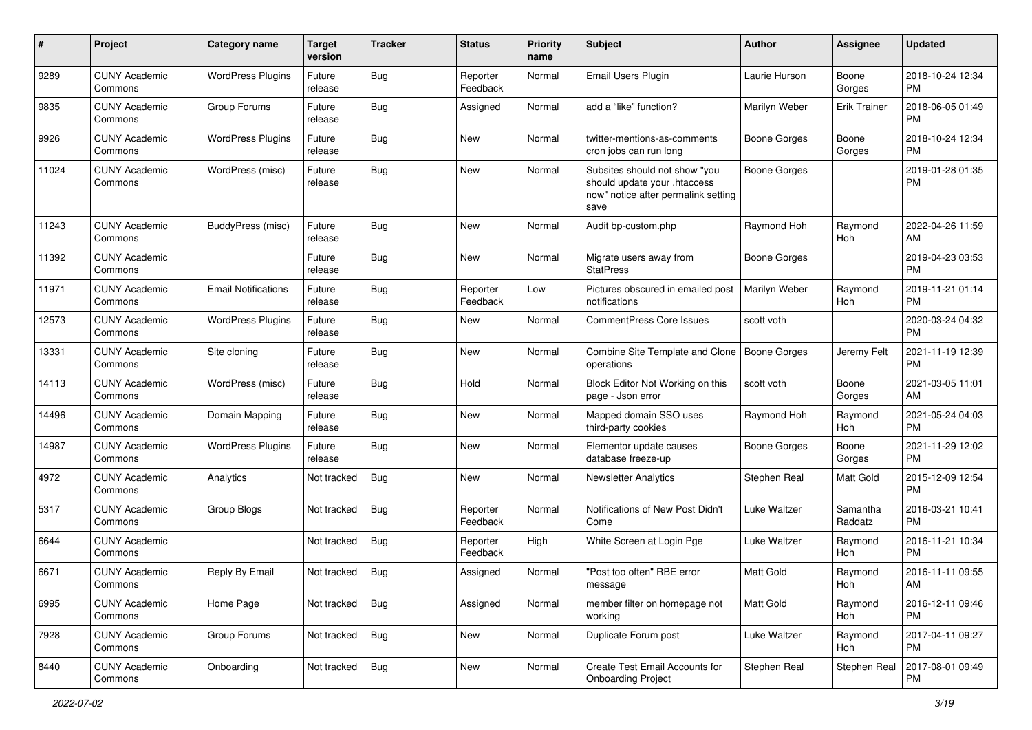| #     | Project                         | <b>Category name</b>       | <b>Target</b><br>version | <b>Tracker</b> | <b>Status</b>        | <b>Priority</b><br>name | Subject                                                                                                      | Author              | <b>Assignee</b>     | <b>Updated</b>                |
|-------|---------------------------------|----------------------------|--------------------------|----------------|----------------------|-------------------------|--------------------------------------------------------------------------------------------------------------|---------------------|---------------------|-------------------------------|
| 9289  | <b>CUNY Academic</b><br>Commons | <b>WordPress Plugins</b>   | Future<br>release        | Bug            | Reporter<br>Feedback | Normal                  | Email Users Plugin                                                                                           | Laurie Hurson       | Boone<br>Gorges     | 2018-10-24 12:34<br><b>PM</b> |
| 9835  | <b>CUNY Academic</b><br>Commons | Group Forums               | Future<br>release        | Bug            | Assigned             | Normal                  | add a "like" function?                                                                                       | Marilyn Weber       | <b>Erik Trainer</b> | 2018-06-05 01:49<br><b>PM</b> |
| 9926  | <b>CUNY Academic</b><br>Commons | <b>WordPress Plugins</b>   | Future<br>release        | Bug            | New                  | Normal                  | twitter-mentions-as-comments<br>cron jobs can run long                                                       | Boone Gorges        | Boone<br>Gorges     | 2018-10-24 12:34<br><b>PM</b> |
| 11024 | <b>CUNY Academic</b><br>Commons | WordPress (misc)           | Future<br>release        | Bug            | <b>New</b>           | Normal                  | Subsites should not show "you<br>should update your .htaccess<br>now" notice after permalink setting<br>save | Boone Gorges        |                     | 2019-01-28 01:35<br><b>PM</b> |
| 11243 | <b>CUNY Academic</b><br>Commons | BuddyPress (misc)          | Future<br>release        | <b>Bug</b>     | <b>New</b>           | Normal                  | Audit bp-custom.php                                                                                          | Raymond Hoh         | Raymond<br>Hoh      | 2022-04-26 11:59<br>AM        |
| 11392 | <b>CUNY Academic</b><br>Commons |                            | Future<br>release        | Bug            | <b>New</b>           | Normal                  | Migrate users away from<br><b>StatPress</b>                                                                  | Boone Gorges        |                     | 2019-04-23 03:53<br><b>PM</b> |
| 11971 | <b>CUNY Academic</b><br>Commons | <b>Email Notifications</b> | Future<br>release        | Bug            | Reporter<br>Feedback | Low                     | Pictures obscured in emailed post<br>notifications                                                           | Marilyn Weber       | Raymond<br>Hoh      | 2019-11-21 01:14<br><b>PM</b> |
| 12573 | <b>CUNY Academic</b><br>Commons | <b>WordPress Plugins</b>   | Future<br>release        | Bug            | New                  | Normal                  | <b>CommentPress Core Issues</b>                                                                              | scott voth          |                     | 2020-03-24 04:32<br><b>PM</b> |
| 13331 | <b>CUNY Academic</b><br>Commons | Site cloning               | Future<br>release        | Bug            | New                  | Normal                  | Combine Site Template and Clone<br>operations                                                                | <b>Boone Gorges</b> | Jeremy Felt         | 2021-11-19 12:39<br><b>PM</b> |
| 14113 | <b>CUNY Academic</b><br>Commons | WordPress (misc)           | Future<br>release        | Bug            | Hold                 | Normal                  | Block Editor Not Working on this<br>page - Json error                                                        | scott voth          | Boone<br>Gorges     | 2021-03-05 11:01<br>AM        |
| 14496 | <b>CUNY Academic</b><br>Commons | Domain Mapping             | Future<br>release        | Bug            | New                  | Normal                  | Mapped domain SSO uses<br>third-party cookies                                                                | Raymond Hoh         | Raymond<br>Hoh      | 2021-05-24 04:03<br><b>PM</b> |
| 14987 | <b>CUNY Academic</b><br>Commons | <b>WordPress Plugins</b>   | Future<br>release        | Bug            | New                  | Normal                  | Elementor update causes<br>database freeze-up                                                                | Boone Gorges        | Boone<br>Gorges     | 2021-11-29 12:02<br><b>PM</b> |
| 4972  | <b>CUNY Academic</b><br>Commons | Analytics                  | Not tracked              | Bug            | <b>New</b>           | Normal                  | <b>Newsletter Analytics</b>                                                                                  | Stephen Real        | Matt Gold           | 2015-12-09 12:54<br><b>PM</b> |
| 5317  | <b>CUNY Academic</b><br>Commons | Group Blogs                | Not tracked              | Bug            | Reporter<br>Feedback | Normal                  | Notifications of New Post Didn't<br>Come                                                                     | Luke Waltzer        | Samantha<br>Raddatz | 2016-03-21 10:41<br><b>PM</b> |
| 6644  | <b>CUNY Academic</b><br>Commons |                            | Not tracked              | <b>Bug</b>     | Reporter<br>Feedback | High                    | White Screen at Login Pge                                                                                    | Luke Waltzer        | Raymond<br>Hoh      | 2016-11-21 10:34<br><b>PM</b> |
| 6671  | <b>CUNY Academic</b><br>Commons | Reply By Email             | Not tracked              | <b>Bug</b>     | Assigned             | Normal                  | "Post too often" RBE error<br>message                                                                        | Matt Gold           | Raymond<br>Hoh      | 2016-11-11 09:55<br>AM        |
| 6995  | <b>CUNY Academic</b><br>Commons | Home Page                  | Not tracked              | <b>Bug</b>     | Assigned             | Normal                  | member filter on homepage not<br>working                                                                     | Matt Gold           | Raymond<br>Hoh      | 2016-12-11 09:46<br><b>PM</b> |
| 7928  | <b>CUNY Academic</b><br>Commons | Group Forums               | Not tracked              | Bug            | New                  | Normal                  | Duplicate Forum post                                                                                         | Luke Waltzer        | Raymond<br>Hoh      | 2017-04-11 09:27<br><b>PM</b> |
| 8440  | <b>CUNY Academic</b><br>Commons | Onboarding                 | Not tracked              | Bug            | New                  | Normal                  | Create Test Email Accounts for<br><b>Onboarding Project</b>                                                  | Stephen Real        | Stephen Real        | 2017-08-01 09:49<br><b>PM</b> |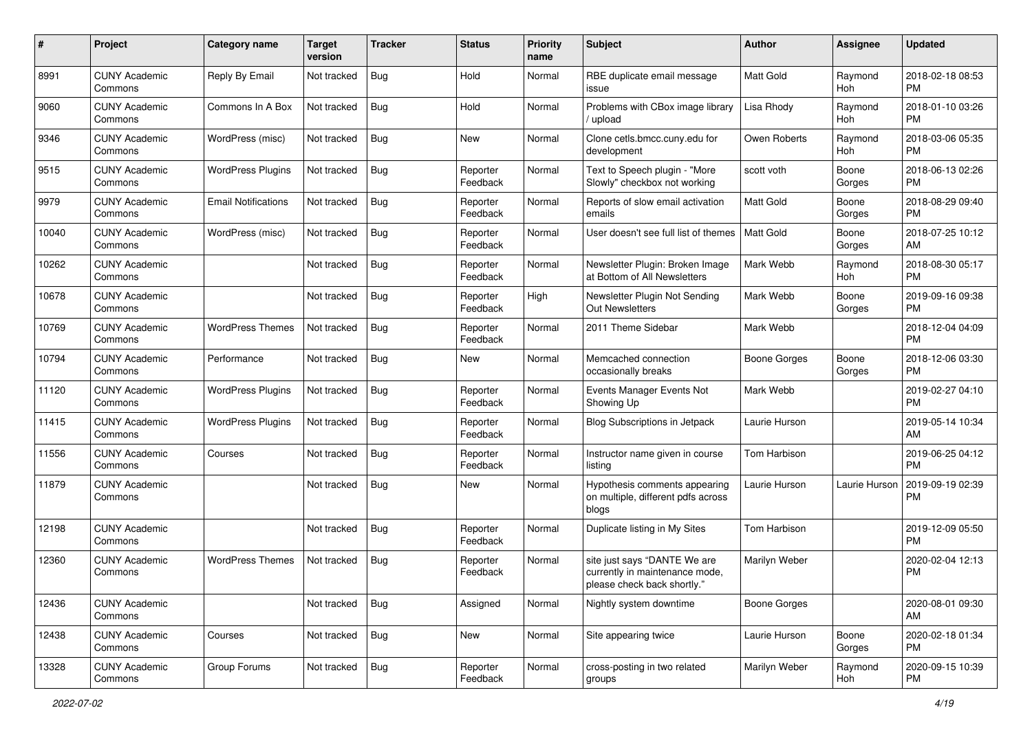| #     | Project                         | <b>Category name</b>       | <b>Target</b><br>version | <b>Tracker</b> | <b>Status</b>        | Priority<br>name | <b>Subject</b>                                                                                | Author              | <b>Assignee</b> | <b>Updated</b>                |
|-------|---------------------------------|----------------------------|--------------------------|----------------|----------------------|------------------|-----------------------------------------------------------------------------------------------|---------------------|-----------------|-------------------------------|
| 8991  | <b>CUNY Academic</b><br>Commons | Reply By Email             | Not tracked              | <b>Bug</b>     | Hold                 | Normal           | RBE duplicate email message<br>issue                                                          | <b>Matt Gold</b>    | Raymond<br>Hoh  | 2018-02-18 08:53<br><b>PM</b> |
| 9060  | <b>CUNY Academic</b><br>Commons | Commons In A Box           | Not tracked              | <b>Bug</b>     | Hold                 | Normal           | Problems with CBox image library<br>upload                                                    | Lisa Rhody          | Raymond<br>Hoh  | 2018-01-10 03:26<br><b>PM</b> |
| 9346  | <b>CUNY Academic</b><br>Commons | WordPress (misc)           | Not tracked              | Bug            | New                  | Normal           | Clone cetls.bmcc.cuny.edu for<br>development                                                  | Owen Roberts        | Raymond<br>Hoh  | 2018-03-06 05:35<br><b>PM</b> |
| 9515  | <b>CUNY Academic</b><br>Commons | <b>WordPress Plugins</b>   | Not tracked              | Bug            | Reporter<br>Feedback | Normal           | Text to Speech plugin - "More<br>Slowly" checkbox not working                                 | scott voth          | Boone<br>Gorges | 2018-06-13 02:26<br><b>PM</b> |
| 9979  | <b>CUNY Academic</b><br>Commons | <b>Email Notifications</b> | Not tracked              | Bug            | Reporter<br>Feedback | Normal           | Reports of slow email activation<br>emails                                                    | <b>Matt Gold</b>    | Boone<br>Gorges | 2018-08-29 09:40<br><b>PM</b> |
| 10040 | <b>CUNY Academic</b><br>Commons | WordPress (misc)           | Not tracked              | Bug            | Reporter<br>Feedback | Normal           | User doesn't see full list of themes                                                          | <b>Matt Gold</b>    | Boone<br>Gorges | 2018-07-25 10:12<br>AM        |
| 10262 | <b>CUNY Academic</b><br>Commons |                            | Not tracked              | Bug            | Reporter<br>Feedback | Normal           | Newsletter Plugin: Broken Image<br>at Bottom of All Newsletters                               | Mark Webb           | Raymond<br>Hoh  | 2018-08-30 05:17<br><b>PM</b> |
| 10678 | <b>CUNY Academic</b><br>Commons |                            | Not tracked              | <b>Bug</b>     | Reporter<br>Feedback | High             | Newsletter Plugin Not Sending<br><b>Out Newsletters</b>                                       | Mark Webb           | Boone<br>Gorges | 2019-09-16 09:38<br><b>PM</b> |
| 10769 | <b>CUNY Academic</b><br>Commons | <b>WordPress Themes</b>    | Not tracked              | <b>Bug</b>     | Reporter<br>Feedback | Normal           | 2011 Theme Sidebar                                                                            | Mark Webb           |                 | 2018-12-04 04:09<br><b>PM</b> |
| 10794 | <b>CUNY Academic</b><br>Commons | Performance                | Not tracked              | Bug            | New                  | Normal           | Memcached connection<br>occasionally breaks                                                   | Boone Gorges        | Boone<br>Gorges | 2018-12-06 03:30<br><b>PM</b> |
| 11120 | <b>CUNY Academic</b><br>Commons | <b>WordPress Plugins</b>   | Not tracked              | Bug            | Reporter<br>Feedback | Normal           | Events Manager Events Not<br>Showing Up                                                       | Mark Webb           |                 | 2019-02-27 04:10<br><b>PM</b> |
| 11415 | <b>CUNY Academic</b><br>Commons | <b>WordPress Plugins</b>   | Not tracked              | Bug            | Reporter<br>Feedback | Normal           | Blog Subscriptions in Jetpack                                                                 | Laurie Hurson       |                 | 2019-05-14 10:34<br>AM        |
| 11556 | <b>CUNY Academic</b><br>Commons | Courses                    | Not tracked              | Bug            | Reporter<br>Feedback | Normal           | Instructor name given in course<br>listing                                                    | Tom Harbison        |                 | 2019-06-25 04:12<br><b>PM</b> |
| 11879 | <b>CUNY Academic</b><br>Commons |                            | Not tracked              | Bug            | New                  | Normal           | Hypothesis comments appearing<br>on multiple, different pdfs across<br>blogs                  | Laurie Hurson       | Laurie Hurson   | 2019-09-19 02:39<br><b>PM</b> |
| 12198 | <b>CUNY Academic</b><br>Commons |                            | Not tracked              | <b>Bug</b>     | Reporter<br>Feedback | Normal           | Duplicate listing in My Sites                                                                 | Tom Harbison        |                 | 2019-12-09 05:50<br><b>PM</b> |
| 12360 | <b>CUNY Academic</b><br>Commons | <b>WordPress Themes</b>    | Not tracked              | Bug            | Reporter<br>Feedback | Normal           | site just says "DANTE We are<br>currently in maintenance mode,<br>please check back shortly." | Marilyn Weber       |                 | 2020-02-04 12:13<br><b>PM</b> |
| 12436 | <b>CUNY Academic</b><br>Commons |                            | Not tracked              | Bug            | Assigned             | Normal           | Nightly system downtime                                                                       | <b>Boone Gorges</b> |                 | 2020-08-01 09:30<br>AM        |
| 12438 | <b>CUNY Academic</b><br>Commons | Courses                    | Not tracked              | <b>Bug</b>     | New                  | Normal           | Site appearing twice                                                                          | Laurie Hurson       | Boone<br>Gorges | 2020-02-18 01:34<br><b>PM</b> |
| 13328 | <b>CUNY Academic</b><br>Commons | Group Forums               | Not tracked              | <b>Bug</b>     | Reporter<br>Feedback | Normal           | cross-posting in two related<br>groups                                                        | Marilyn Weber       | Raymond<br>Hoh  | 2020-09-15 10:39<br><b>PM</b> |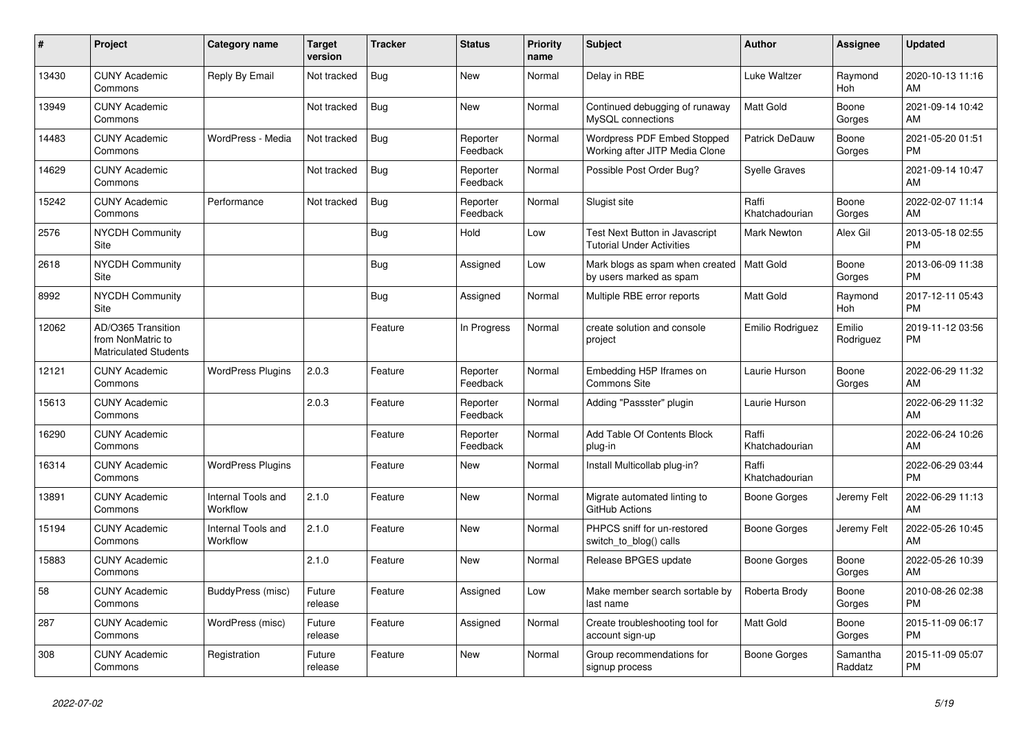| #     | Project                                                                 | <b>Category name</b>           | <b>Target</b><br>version | <b>Tracker</b> | <b>Status</b>        | <b>Priority</b><br>name | <b>Subject</b>                                                         | <b>Author</b>           | <b>Assignee</b>     | <b>Updated</b>                |
|-------|-------------------------------------------------------------------------|--------------------------------|--------------------------|----------------|----------------------|-------------------------|------------------------------------------------------------------------|-------------------------|---------------------|-------------------------------|
| 13430 | <b>CUNY Academic</b><br>Commons                                         | Reply By Email                 | Not tracked              | <b>Bug</b>     | New                  | Normal                  | Delay in RBE                                                           | Luke Waltzer            | Raymond<br>Hoh      | 2020-10-13 11:16<br>AM        |
| 13949 | <b>CUNY Academic</b><br>Commons                                         |                                | Not tracked              | <b>Bug</b>     | New                  | Normal                  | Continued debugging of runaway<br>MySQL connections                    | <b>Matt Gold</b>        | Boone<br>Gorges     | 2021-09-14 10:42<br>AM        |
| 14483 | <b>CUNY Academic</b><br>Commons                                         | WordPress - Media              | Not tracked              | Bug            | Reporter<br>Feedback | Normal                  | Wordpress PDF Embed Stopped<br>Working after JITP Media Clone          | <b>Patrick DeDauw</b>   | Boone<br>Gorges     | 2021-05-20 01:51<br><b>PM</b> |
| 14629 | <b>CUNY Academic</b><br>Commons                                         |                                | Not tracked              | <b>Bug</b>     | Reporter<br>Feedback | Normal                  | Possible Post Order Bug?                                               | <b>Syelle Graves</b>    |                     | 2021-09-14 10:47<br>AM        |
| 15242 | <b>CUNY Academic</b><br>Commons                                         | Performance                    | Not tracked              | <b>Bug</b>     | Reporter<br>Feedback | Normal                  | Slugist site                                                           | Raffi<br>Khatchadourian | Boone<br>Gorges     | 2022-02-07 11:14<br>AM        |
| 2576  | <b>NYCDH Community</b><br>Site                                          |                                |                          | Bug            | Hold                 | Low                     | Test Next Button in Javascript<br><b>Tutorial Under Activities</b>     | Mark Newton             | Alex Gil            | 2013-05-18 02:55<br><b>PM</b> |
| 2618  | <b>NYCDH Community</b><br>Site                                          |                                |                          | Bug            | Assigned             | Low                     | Mark blogs as spam when created   Matt Gold<br>by users marked as spam |                         | Boone<br>Gorges     | 2013-06-09 11:38<br><b>PM</b> |
| 8992  | <b>NYCDH Community</b><br>Site                                          |                                |                          | Bug            | Assigned             | Normal                  | Multiple RBE error reports                                             | Matt Gold               | Raymond<br>Hoh      | 2017-12-11 05:43<br><b>PM</b> |
| 12062 | AD/O365 Transition<br>from NonMatric to<br><b>Matriculated Students</b> |                                |                          | Feature        | In Progress          | Normal                  | create solution and console<br>project                                 | Emilio Rodriguez        | Emilio<br>Rodriguez | 2019-11-12 03:56<br><b>PM</b> |
| 12121 | <b>CUNY Academic</b><br>Commons                                         | <b>WordPress Plugins</b>       | 2.0.3                    | Feature        | Reporter<br>Feedback | Normal                  | Embedding H5P Iframes on<br><b>Commons Site</b>                        | Laurie Hurson           | Boone<br>Gorges     | 2022-06-29 11:32<br>AM        |
| 15613 | <b>CUNY Academic</b><br>Commons                                         |                                | 2.0.3                    | Feature        | Reporter<br>Feedback | Normal                  | Adding "Passster" plugin                                               | Laurie Hurson           |                     | 2022-06-29 11:32<br>AM        |
| 16290 | <b>CUNY Academic</b><br>Commons                                         |                                |                          | Feature        | Reporter<br>Feedback | Normal                  | Add Table Of Contents Block<br>plug-in                                 | Raffi<br>Khatchadourian |                     | 2022-06-24 10:26<br>AM        |
| 16314 | <b>CUNY Academic</b><br>Commons                                         | <b>WordPress Plugins</b>       |                          | Feature        | <b>New</b>           | Normal                  | Install Multicollab plug-in?                                           | Raffi<br>Khatchadourian |                     | 2022-06-29 03:44<br><b>PM</b> |
| 13891 | <b>CUNY Academic</b><br>Commons                                         | Internal Tools and<br>Workflow | 2.1.0                    | Feature        | New                  | Normal                  | Migrate automated linting to<br>GitHub Actions                         | Boone Gorges            | Jeremy Felt         | 2022-06-29 11:13<br>AM        |
| 15194 | <b>CUNY Academic</b><br>Commons                                         | Internal Tools and<br>Workflow | 2.1.0                    | Feature        | New                  | Normal                  | PHPCS sniff for un-restored<br>switch_to_blog() calls                  | Boone Gorges            | Jeremy Felt         | 2022-05-26 10:45<br>AM        |
| 15883 | <b>CUNY Academic</b><br>Commons                                         |                                | 2.1.0                    | Feature        | <b>New</b>           | Normal                  | Release BPGES update                                                   | Boone Gorges            | Boone<br>Gorges     | 2022-05-26 10:39<br>AM        |
| 58    | <b>CUNY Academic</b><br>Commons                                         | BuddyPress (misc)              | Future<br>release        | Feature        | Assigned             | Low                     | Make member search sortable by<br>last name                            | Roberta Brody           | Boone<br>Gorges     | 2010-08-26 02:38<br><b>PM</b> |
| 287   | <b>CUNY Academic</b><br>Commons                                         | WordPress (misc)               | Future<br>release        | Feature        | Assigned             | Normal                  | Create troubleshooting tool for<br>account sign-up                     | <b>Matt Gold</b>        | Boone<br>Gorges     | 2015-11-09 06:17<br><b>PM</b> |
| 308   | <b>CUNY Academic</b><br>Commons                                         | Registration                   | Future<br>release        | Feature        | <b>New</b>           | Normal                  | Group recommendations for<br>signup process                            | Boone Gorges            | Samantha<br>Raddatz | 2015-11-09 05:07<br><b>PM</b> |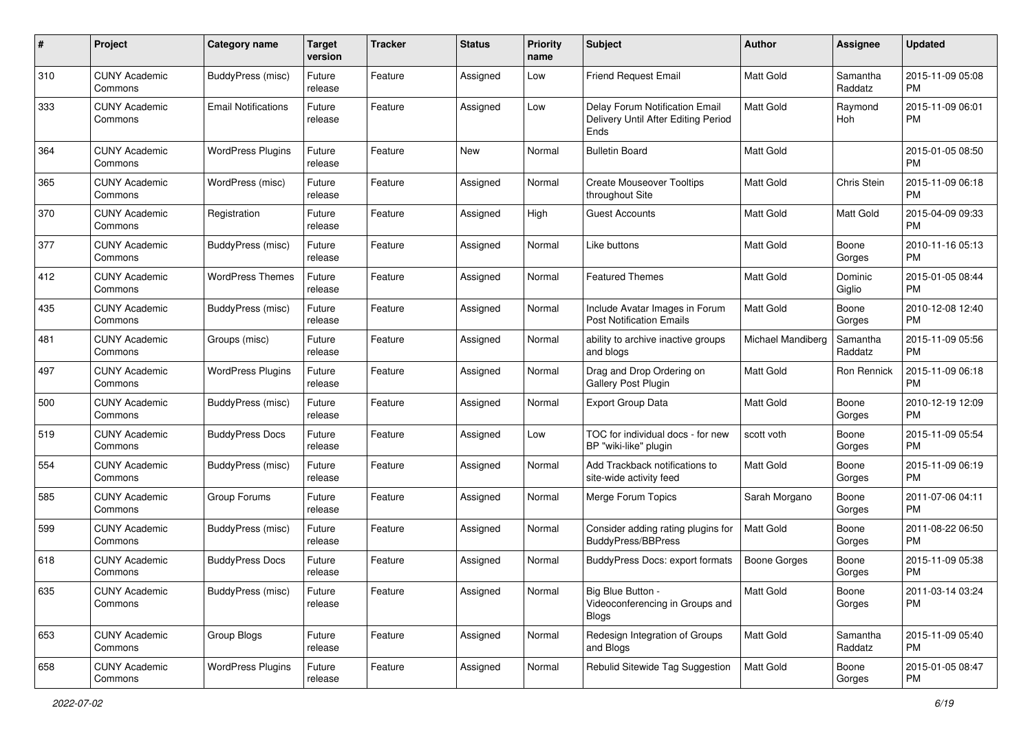| #   | Project                         | <b>Category name</b>       | <b>Target</b><br>version | <b>Tracker</b> | <b>Status</b> | Priority<br>name | <b>Subject</b>                                                                | Author              | <b>Assignee</b>     | <b>Updated</b>                |
|-----|---------------------------------|----------------------------|--------------------------|----------------|---------------|------------------|-------------------------------------------------------------------------------|---------------------|---------------------|-------------------------------|
| 310 | <b>CUNY Academic</b><br>Commons | BuddyPress (misc)          | Future<br>release        | Feature        | Assigned      | Low              | <b>Friend Request Email</b>                                                   | <b>Matt Gold</b>    | Samantha<br>Raddatz | 2015-11-09 05:08<br><b>PM</b> |
| 333 | <b>CUNY Academic</b><br>Commons | <b>Email Notifications</b> | Future<br>release        | Feature        | Assigned      | Low              | Delay Forum Notification Email<br>Delivery Until After Editing Period<br>Ends | <b>Matt Gold</b>    | Raymond<br>Hoh      | 2015-11-09 06:01<br><b>PM</b> |
| 364 | <b>CUNY Academic</b><br>Commons | <b>WordPress Plugins</b>   | Future<br>release        | Feature        | New           | Normal           | <b>Bulletin Board</b>                                                         | <b>Matt Gold</b>    |                     | 2015-01-05 08:50<br><b>PM</b> |
| 365 | <b>CUNY Academic</b><br>Commons | WordPress (misc)           | Future<br>release        | Feature        | Assigned      | Normal           | <b>Create Mouseover Tooltips</b><br>throughout Site                           | Matt Gold           | Chris Stein         | 2015-11-09 06:18<br><b>PM</b> |
| 370 | <b>CUNY Academic</b><br>Commons | Registration               | Future<br>release        | Feature        | Assigned      | High             | <b>Guest Accounts</b>                                                         | <b>Matt Gold</b>    | Matt Gold           | 2015-04-09 09:33<br><b>PM</b> |
| 377 | <b>CUNY Academic</b><br>Commons | BuddyPress (misc)          | Future<br>release        | Feature        | Assigned      | Normal           | Like buttons                                                                  | <b>Matt Gold</b>    | Boone<br>Gorges     | 2010-11-16 05:13<br><b>PM</b> |
| 412 | <b>CUNY Academic</b><br>Commons | <b>WordPress Themes</b>    | Future<br>release        | Feature        | Assigned      | Normal           | <b>Featured Themes</b>                                                        | <b>Matt Gold</b>    | Dominic<br>Giglio   | 2015-01-05 08:44<br><b>PM</b> |
| 435 | <b>CUNY Academic</b><br>Commons | BuddyPress (misc)          | Future<br>release        | Feature        | Assigned      | Normal           | Include Avatar Images in Forum<br><b>Post Notification Emails</b>             | <b>Matt Gold</b>    | Boone<br>Gorges     | 2010-12-08 12:40<br><b>PM</b> |
| 481 | <b>CUNY Academic</b><br>Commons | Groups (misc)              | Future<br>release        | Feature        | Assigned      | Normal           | ability to archive inactive groups<br>and blogs                               | Michael Mandiberg   | Samantha<br>Raddatz | 2015-11-09 05:56<br>PM        |
| 497 | <b>CUNY Academic</b><br>Commons | <b>WordPress Plugins</b>   | Future<br>release        | Feature        | Assigned      | Normal           | Drag and Drop Ordering on<br><b>Gallery Post Plugin</b>                       | <b>Matt Gold</b>    | Ron Rennick         | 2015-11-09 06:18<br><b>PM</b> |
| 500 | <b>CUNY Academic</b><br>Commons | BuddyPress (misc)          | Future<br>release        | Feature        | Assigned      | Normal           | <b>Export Group Data</b>                                                      | Matt Gold           | Boone<br>Gorges     | 2010-12-19 12:09<br><b>PM</b> |
| 519 | <b>CUNY Academic</b><br>Commons | <b>BuddyPress Docs</b>     | Future<br>release        | Feature        | Assigned      | Low              | TOC for individual docs - for new<br>BP "wiki-like" plugin                    | scott voth          | Boone<br>Gorges     | 2015-11-09 05:54<br><b>PM</b> |
| 554 | <b>CUNY Academic</b><br>Commons | BuddyPress (misc)          | Future<br>release        | Feature        | Assigned      | Normal           | Add Trackback notifications to<br>site-wide activity feed                     | <b>Matt Gold</b>    | Boone<br>Gorges     | 2015-11-09 06:19<br><b>PM</b> |
| 585 | <b>CUNY Academic</b><br>Commons | Group Forums               | Future<br>release        | Feature        | Assigned      | Normal           | Merge Forum Topics                                                            | Sarah Morgano       | Boone<br>Gorges     | 2011-07-06 04:11<br><b>PM</b> |
| 599 | <b>CUNY Academic</b><br>Commons | BuddyPress (misc)          | Future<br>release        | Feature        | Assigned      | Normal           | Consider adding rating plugins for<br><b>BuddyPress/BBPress</b>               | <b>Matt Gold</b>    | Boone<br>Gorges     | 2011-08-22 06:50<br><b>PM</b> |
| 618 | <b>CUNY Academic</b><br>Commons | <b>BuddyPress Docs</b>     | Future<br>release        | Feature        | Assigned      | Normal           | BuddyPress Docs: export formats                                               | <b>Boone Gorges</b> | Boone<br>Gorges     | 2015-11-09 05:38<br><b>PM</b> |
| 635 | <b>CUNY Academic</b><br>Commons | BuddyPress (misc)          | Future<br>release        | Feature        | Assigned      | Normal           | Big Blue Button -<br>Videoconferencing in Groups and<br><b>Blogs</b>          | Matt Gold           | Boone<br>Gorges     | 2011-03-14 03:24<br><b>PM</b> |
| 653 | <b>CUNY Academic</b><br>Commons | Group Blogs                | Future<br>release        | Feature        | Assigned      | Normal           | Redesign Integration of Groups<br>and Blogs                                   | Matt Gold           | Samantha<br>Raddatz | 2015-11-09 05:40<br><b>PM</b> |
| 658 | <b>CUNY Academic</b><br>Commons | <b>WordPress Plugins</b>   | Future<br>release        | Feature        | Assigned      | Normal           | Rebulid Sitewide Tag Suggestion                                               | Matt Gold           | Boone<br>Gorges     | 2015-01-05 08:47<br><b>PM</b> |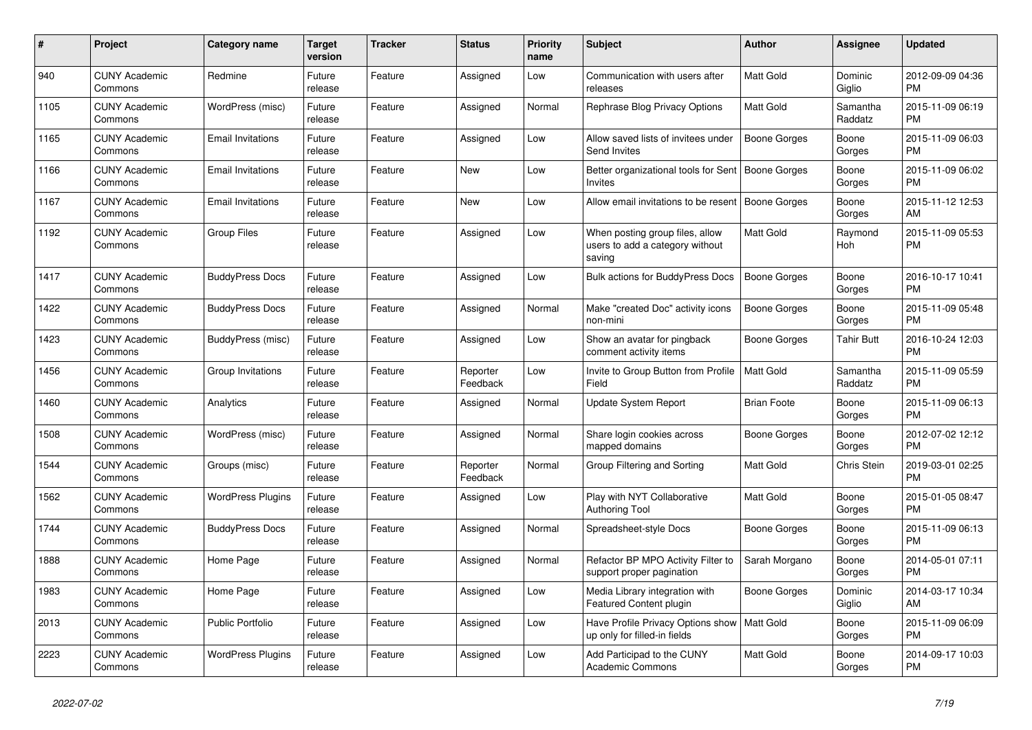| #    | <b>Project</b>                  | Category name            | Target<br>version | <b>Tracker</b> | <b>Status</b>        | <b>Priority</b><br>name | <b>Subject</b>                                                               | <b>Author</b>      | Assignee            | <b>Updated</b>                |
|------|---------------------------------|--------------------------|-------------------|----------------|----------------------|-------------------------|------------------------------------------------------------------------------|--------------------|---------------------|-------------------------------|
| 940  | <b>CUNY Academic</b><br>Commons | Redmine                  | Future<br>release | Feature        | Assigned             | Low                     | Communication with users after<br>releases                                   | Matt Gold          | Dominic<br>Giglio   | 2012-09-09 04:36<br><b>PM</b> |
| 1105 | <b>CUNY Academic</b><br>Commons | WordPress (misc)         | Future<br>release | Feature        | Assigned             | Normal                  | Rephrase Blog Privacy Options                                                | Matt Gold          | Samantha<br>Raddatz | 2015-11-09 06:19<br><b>PM</b> |
| 1165 | <b>CUNY Academic</b><br>Commons | <b>Email Invitations</b> | Future<br>release | Feature        | Assigned             | Low                     | Allow saved lists of invitees under<br>Send Invites                          | Boone Gorges       | Boone<br>Gorges     | 2015-11-09 06:03<br><b>PM</b> |
| 1166 | <b>CUNY Academic</b><br>Commons | <b>Email Invitations</b> | Future<br>release | Feature        | <b>New</b>           | Low                     | Better organizational tools for Sent   Boone Gorges<br><b>Invites</b>        |                    | Boone<br>Gorges     | 2015-11-09 06:02<br><b>PM</b> |
| 1167 | <b>CUNY Academic</b><br>Commons | <b>Email Invitations</b> | Future<br>release | Feature        | New                  | Low                     | Allow email invitations to be resent                                         | Boone Gorges       | Boone<br>Gorges     | 2015-11-12 12:53<br>AM        |
| 1192 | <b>CUNY Academic</b><br>Commons | <b>Group Files</b>       | Future<br>release | Feature        | Assigned             | Low                     | When posting group files, allow<br>users to add a category without<br>saving | Matt Gold          | Raymond<br>Hoh      | 2015-11-09 05:53<br><b>PM</b> |
| 1417 | <b>CUNY Academic</b><br>Commons | <b>BuddyPress Docs</b>   | Future<br>release | Feature        | Assigned             | Low                     | <b>Bulk actions for BuddyPress Docs</b>                                      | Boone Gorges       | Boone<br>Gorges     | 2016-10-17 10:41<br><b>PM</b> |
| 1422 | <b>CUNY Academic</b><br>Commons | <b>BuddyPress Docs</b>   | Future<br>release | Feature        | Assigned             | Normal                  | Make "created Doc" activity icons<br>non-mini                                | Boone Gorges       | Boone<br>Gorges     | 2015-11-09 05:48<br><b>PM</b> |
| 1423 | <b>CUNY Academic</b><br>Commons | BuddyPress (misc)        | Future<br>release | Feature        | Assigned             | Low                     | Show an avatar for pingback<br>comment activity items                        | Boone Gorges       | Tahir Butt          | 2016-10-24 12:03<br><b>PM</b> |
| 1456 | <b>CUNY Academic</b><br>Commons | Group Invitations        | Future<br>release | Feature        | Reporter<br>Feedback | Low                     | Invite to Group Button from Profile<br>Field                                 | <b>Matt Gold</b>   | Samantha<br>Raddatz | 2015-11-09 05:59<br><b>PM</b> |
| 1460 | <b>CUNY Academic</b><br>Commons | Analytics                | Future<br>release | Feature        | Assigned             | Normal                  | <b>Update System Report</b>                                                  | <b>Brian Foote</b> | Boone<br>Gorges     | 2015-11-09 06:13<br><b>PM</b> |
| 1508 | <b>CUNY Academic</b><br>Commons | WordPress (misc)         | Future<br>release | Feature        | Assigned             | Normal                  | Share login cookies across<br>mapped domains                                 | Boone Gorges       | Boone<br>Gorges     | 2012-07-02 12:12<br><b>PM</b> |
| 1544 | <b>CUNY Academic</b><br>Commons | Groups (misc)            | Future<br>release | Feature        | Reporter<br>Feedback | Normal                  | Group Filtering and Sorting                                                  | Matt Gold          | Chris Stein         | 2019-03-01 02:25<br><b>PM</b> |
| 1562 | <b>CUNY Academic</b><br>Commons | <b>WordPress Plugins</b> | Future<br>release | Feature        | Assigned             | Low                     | Play with NYT Collaborative<br>Authoring Tool                                | Matt Gold          | Boone<br>Gorges     | 2015-01-05 08:47<br><b>PM</b> |
| 1744 | <b>CUNY Academic</b><br>Commons | <b>BuddyPress Docs</b>   | Future<br>release | Feature        | Assigned             | Normal                  | Spreadsheet-style Docs                                                       | Boone Gorges       | Boone<br>Gorges     | 2015-11-09 06:13<br><b>PM</b> |
| 1888 | <b>CUNY Academic</b><br>Commons | Home Page                | Future<br>release | Feature        | Assigned             | Normal                  | Refactor BP MPO Activity Filter to<br>support proper pagination              | Sarah Morgano      | Boone<br>Gorges     | 2014-05-01 07:11<br><b>PM</b> |
| 1983 | <b>CUNY Academic</b><br>Commons | Home Page                | Future<br>release | Feature        | Assigned             | Low                     | Media Library integration with<br><b>Featured Content plugin</b>             | Boone Gorges       | Dominic<br>Giglio   | 2014-03-17 10:34<br>AM        |
| 2013 | <b>CUNY Academic</b><br>Commons | <b>Public Portfolio</b>  | Future<br>release | Feature        | Assigned             | Low                     | Have Profile Privacy Options show<br>up only for filled-in fields            | Matt Gold          | Boone<br>Gorges     | 2015-11-09 06:09<br><b>PM</b> |
| 2223 | <b>CUNY Academic</b><br>Commons | <b>WordPress Plugins</b> | Future<br>release | Feature        | Assigned             | Low                     | Add Participad to the CUNY<br>Academic Commons                               | <b>Matt Gold</b>   | Boone<br>Gorges     | 2014-09-17 10:03<br><b>PM</b> |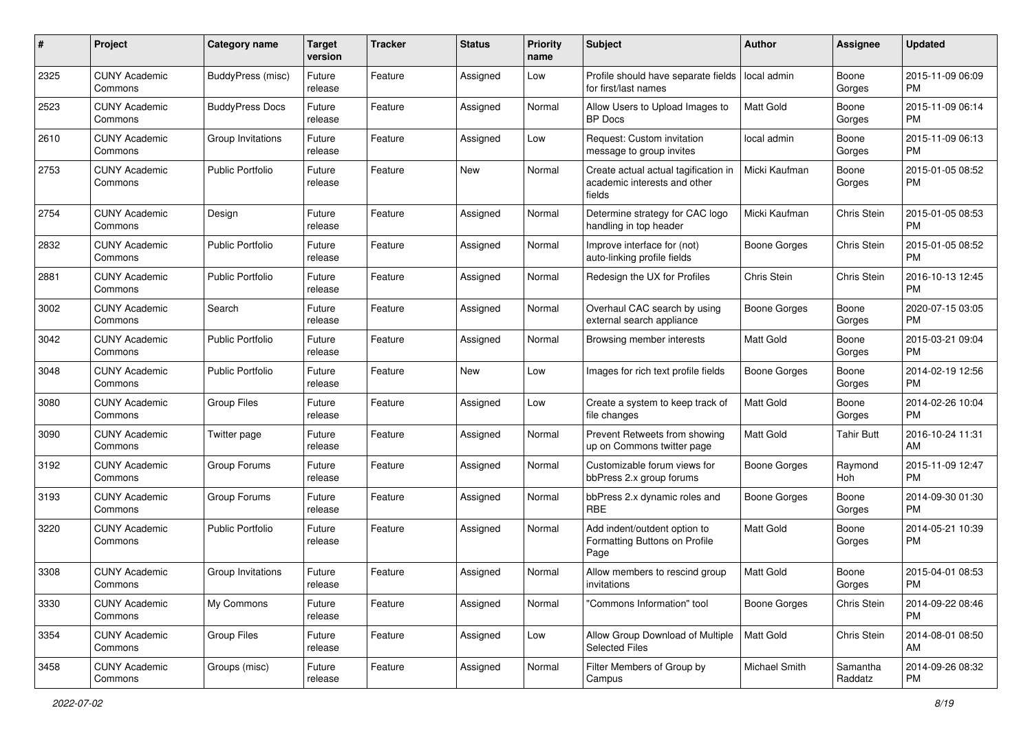| #    | Project                         | <b>Category name</b>     | <b>Target</b><br>version | <b>Tracker</b> | <b>Status</b> | <b>Priority</b><br>name | Subject                                                                        | Author              | Assignee            | <b>Updated</b>                |
|------|---------------------------------|--------------------------|--------------------------|----------------|---------------|-------------------------|--------------------------------------------------------------------------------|---------------------|---------------------|-------------------------------|
| 2325 | <b>CUNY Academic</b><br>Commons | <b>BuddyPress (misc)</b> | Future<br>release        | Feature        | Assigned      | Low                     | Profile should have separate fields<br>for first/last names                    | local admin         | Boone<br>Gorges     | 2015-11-09 06:09<br>PM        |
| 2523 | <b>CUNY Academic</b><br>Commons | <b>BuddyPress Docs</b>   | Future<br>release        | Feature        | Assigned      | Normal                  | Allow Users to Upload Images to<br><b>BP</b> Docs                              | <b>Matt Gold</b>    | Boone<br>Gorges     | 2015-11-09 06:14<br><b>PM</b> |
| 2610 | <b>CUNY Academic</b><br>Commons | Group Invitations        | Future<br>release        | Feature        | Assigned      | Low                     | Request: Custom invitation<br>message to group invites                         | local admin         | Boone<br>Gorges     | 2015-11-09 06:13<br><b>PM</b> |
| 2753 | <b>CUNY Academic</b><br>Commons | <b>Public Portfolio</b>  | Future<br>release        | Feature        | New           | Normal                  | Create actual actual tagification in<br>academic interests and other<br>fields | Micki Kaufman       | Boone<br>Gorges     | 2015-01-05 08:52<br><b>PM</b> |
| 2754 | <b>CUNY Academic</b><br>Commons | Design                   | Future<br>release        | Feature        | Assigned      | Normal                  | Determine strategy for CAC logo<br>handling in top header                      | Micki Kaufman       | Chris Stein         | 2015-01-05 08:53<br><b>PM</b> |
| 2832 | <b>CUNY Academic</b><br>Commons | <b>Public Portfolio</b>  | Future<br>release        | Feature        | Assigned      | Normal                  | Improve interface for (not)<br>auto-linking profile fields                     | Boone Gorges        | Chris Stein         | 2015-01-05 08:52<br><b>PM</b> |
| 2881 | <b>CUNY Academic</b><br>Commons | <b>Public Portfolio</b>  | Future<br>release        | Feature        | Assigned      | Normal                  | Redesign the UX for Profiles                                                   | Chris Stein         | Chris Stein         | 2016-10-13 12:45<br><b>PM</b> |
| 3002 | <b>CUNY Academic</b><br>Commons | Search                   | Future<br>release        | Feature        | Assigned      | Normal                  | Overhaul CAC search by using<br>external search appliance                      | Boone Gorges        | Boone<br>Gorges     | 2020-07-15 03:05<br><b>PM</b> |
| 3042 | <b>CUNY Academic</b><br>Commons | <b>Public Portfolio</b>  | Future<br>release        | Feature        | Assigned      | Normal                  | Browsing member interests                                                      | <b>Matt Gold</b>    | Boone<br>Gorges     | 2015-03-21 09:04<br>PM        |
| 3048 | <b>CUNY Academic</b><br>Commons | <b>Public Portfolio</b>  | Future<br>release        | Feature        | New           | Low                     | Images for rich text profile fields                                            | <b>Boone Gorges</b> | Boone<br>Gorges     | 2014-02-19 12:56<br><b>PM</b> |
| 3080 | <b>CUNY Academic</b><br>Commons | <b>Group Files</b>       | Future<br>release        | Feature        | Assigned      | Low                     | Create a system to keep track of<br>file changes                               | Matt Gold           | Boone<br>Gorges     | 2014-02-26 10:04<br><b>PM</b> |
| 3090 | <b>CUNY Academic</b><br>Commons | Twitter page             | Future<br>release        | Feature        | Assigned      | Normal                  | Prevent Retweets from showing<br>up on Commons twitter page                    | <b>Matt Gold</b>    | <b>Tahir Butt</b>   | 2016-10-24 11:31<br>AM        |
| 3192 | <b>CUNY Academic</b><br>Commons | Group Forums             | Future<br>release        | Feature        | Assigned      | Normal                  | Customizable forum views for<br>bbPress 2.x group forums                       | Boone Gorges        | Raymond<br>Hoh      | 2015-11-09 12:47<br><b>PM</b> |
| 3193 | <b>CUNY Academic</b><br>Commons | Group Forums             | Future<br>release        | Feature        | Assigned      | Normal                  | bbPress 2.x dynamic roles and<br><b>RBE</b>                                    | Boone Gorges        | Boone<br>Gorges     | 2014-09-30 01:30<br><b>PM</b> |
| 3220 | <b>CUNY Academic</b><br>Commons | Public Portfolio         | Future<br>release        | Feature        | Assigned      | Normal                  | Add indent/outdent option to<br>Formatting Buttons on Profile<br>Page          | <b>Matt Gold</b>    | Boone<br>Gorges     | 2014-05-21 10:39<br><b>PM</b> |
| 3308 | <b>CUNY Academic</b><br>Commons | Group Invitations        | Future<br>release        | Feature        | Assigned      | Normal                  | Allow members to rescind group<br>invitations                                  | <b>Matt Gold</b>    | Boone<br>Gorges     | 2015-04-01 08:53<br>PM        |
| 3330 | <b>CUNY Academic</b><br>Commons | My Commons               | Future<br>release        | Feature        | Assigned      | Normal                  | "Commons Information" tool                                                     | <b>Boone Gorges</b> | Chris Stein         | 2014-09-22 08:46<br><b>PM</b> |
| 3354 | <b>CUNY Academic</b><br>Commons | <b>Group Files</b>       | Future<br>release        | Feature        | Assigned      | Low                     | Allow Group Download of Multiple<br><b>Selected Files</b>                      | Matt Gold           | Chris Stein         | 2014-08-01 08:50<br>AM        |
| 3458 | <b>CUNY Academic</b><br>Commons | Groups (misc)            | Future<br>release        | Feature        | Assigned      | Normal                  | Filter Members of Group by<br>Campus                                           | Michael Smith       | Samantha<br>Raddatz | 2014-09-26 08:32<br>PM        |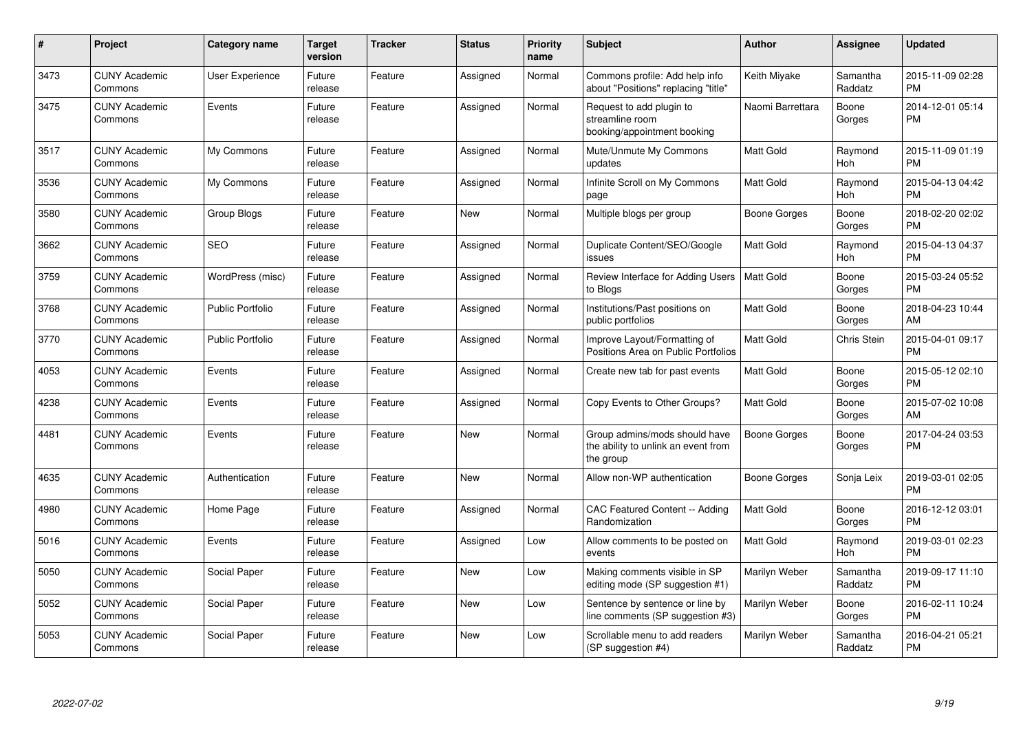| #    | Project                         | <b>Category name</b>    | <b>Target</b><br>version | <b>Tracker</b> | <b>Status</b> | Priority<br>name | <b>Subject</b>                                                                    | <b>Author</b>    | <b>Assignee</b>     | <b>Updated</b>                |
|------|---------------------------------|-------------------------|--------------------------|----------------|---------------|------------------|-----------------------------------------------------------------------------------|------------------|---------------------|-------------------------------|
| 3473 | <b>CUNY Academic</b><br>Commons | <b>User Experience</b>  | Future<br>release        | Feature        | Assigned      | Normal           | Commons profile: Add help info<br>about "Positions" replacing "title"             | Keith Miyake     | Samantha<br>Raddatz | 2015-11-09 02:28<br><b>PM</b> |
| 3475 | <b>CUNY Academic</b><br>Commons | Events                  | Future<br>release        | Feature        | Assigned      | Normal           | Request to add plugin to<br>streamline room<br>booking/appointment booking        | Naomi Barrettara | Boone<br>Gorges     | 2014-12-01 05:14<br><b>PM</b> |
| 3517 | <b>CUNY Academic</b><br>Commons | My Commons              | Future<br>release        | Feature        | Assigned      | Normal           | Mute/Unmute My Commons<br>updates                                                 | Matt Gold        | Raymond<br>Hoh      | 2015-11-09 01:19<br><b>PM</b> |
| 3536 | <b>CUNY Academic</b><br>Commons | My Commons              | Future<br>release        | Feature        | Assigned      | Normal           | Infinite Scroll on My Commons<br>page                                             | <b>Matt Gold</b> | Raymond<br>Hoh      | 2015-04-13 04:42<br><b>PM</b> |
| 3580 | <b>CUNY Academic</b><br>Commons | Group Blogs             | Future<br>release        | Feature        | <b>New</b>    | Normal           | Multiple blogs per group                                                          | Boone Gorges     | Boone<br>Gorges     | 2018-02-20 02:02<br><b>PM</b> |
| 3662 | <b>CUNY Academic</b><br>Commons | <b>SEO</b>              | Future<br>release        | Feature        | Assigned      | Normal           | Duplicate Content/SEO/Google<br>issues                                            | <b>Matt Gold</b> | Raymond<br>Hoh      | 2015-04-13 04:37<br><b>PM</b> |
| 3759 | <b>CUNY Academic</b><br>Commons | WordPress (misc)        | Future<br>release        | Feature        | Assigned      | Normal           | Review Interface for Adding Users<br>to Bloas                                     | Matt Gold        | Boone<br>Gorges     | 2015-03-24 05:52<br><b>PM</b> |
| 3768 | <b>CUNY Academic</b><br>Commons | <b>Public Portfolio</b> | Future<br>release        | Feature        | Assigned      | Normal           | Institutions/Past positions on<br>public portfolios                               | <b>Matt Gold</b> | Boone<br>Gorges     | 2018-04-23 10:44<br>AM        |
| 3770 | <b>CUNY Academic</b><br>Commons | <b>Public Portfolio</b> | Future<br>release        | Feature        | Assigned      | Normal           | Improve Layout/Formatting of<br>Positions Area on Public Portfolios               | <b>Matt Gold</b> | Chris Stein         | 2015-04-01 09:17<br><b>PM</b> |
| 4053 | <b>CUNY Academic</b><br>Commons | Events                  | Future<br>release        | Feature        | Assigned      | Normal           | Create new tab for past events                                                    | Matt Gold        | Boone<br>Gorges     | 2015-05-12 02:10<br><b>PM</b> |
| 4238 | <b>CUNY Academic</b><br>Commons | Events                  | Future<br>release        | Feature        | Assigned      | Normal           | Copy Events to Other Groups?                                                      | Matt Gold        | Boone<br>Gorges     | 2015-07-02 10:08<br>AM        |
| 4481 | <b>CUNY Academic</b><br>Commons | Events                  | Future<br>release        | Feature        | New           | Normal           | Group admins/mods should have<br>the ability to unlink an event from<br>the group | Boone Gorges     | Boone<br>Gorges     | 2017-04-24 03:53<br><b>PM</b> |
| 4635 | <b>CUNY Academic</b><br>Commons | Authentication          | Future<br>release        | Feature        | New           | Normal           | Allow non-WP authentication                                                       | Boone Gorges     | Sonja Leix          | 2019-03-01 02:05<br><b>PM</b> |
| 4980 | <b>CUNY Academic</b><br>Commons | Home Page               | Future<br>release        | Feature        | Assigned      | Normal           | CAC Featured Content -- Adding<br>Randomization                                   | <b>Matt Gold</b> | Boone<br>Gorges     | 2016-12-12 03:01<br><b>PM</b> |
| 5016 | <b>CUNY Academic</b><br>Commons | Events                  | Future<br>release        | Feature        | Assigned      | Low              | Allow comments to be posted on<br>events                                          | <b>Matt Gold</b> | Raymond<br>Hoh      | 2019-03-01 02:23<br><b>PM</b> |
| 5050 | <b>CUNY Academic</b><br>Commons | Social Paper            | Future<br>release        | Feature        | <b>New</b>    | Low              | Making comments visible in SP<br>editing mode (SP suggestion #1)                  | Marilyn Weber    | Samantha<br>Raddatz | 2019-09-17 11:10<br><b>PM</b> |
| 5052 | <b>CUNY Academic</b><br>Commons | Social Paper            | Future<br>release        | Feature        | <b>New</b>    | Low              | Sentence by sentence or line by<br>line comments (SP suggestion #3)               | Marilyn Weber    | Boone<br>Gorges     | 2016-02-11 10:24<br><b>PM</b> |
| 5053 | <b>CUNY Academic</b><br>Commons | Social Paper            | Future<br>release        | Feature        | <b>New</b>    | Low              | Scrollable menu to add readers<br>(SP suggestion #4)                              | Marilyn Weber    | Samantha<br>Raddatz | 2016-04-21 05:21<br><b>PM</b> |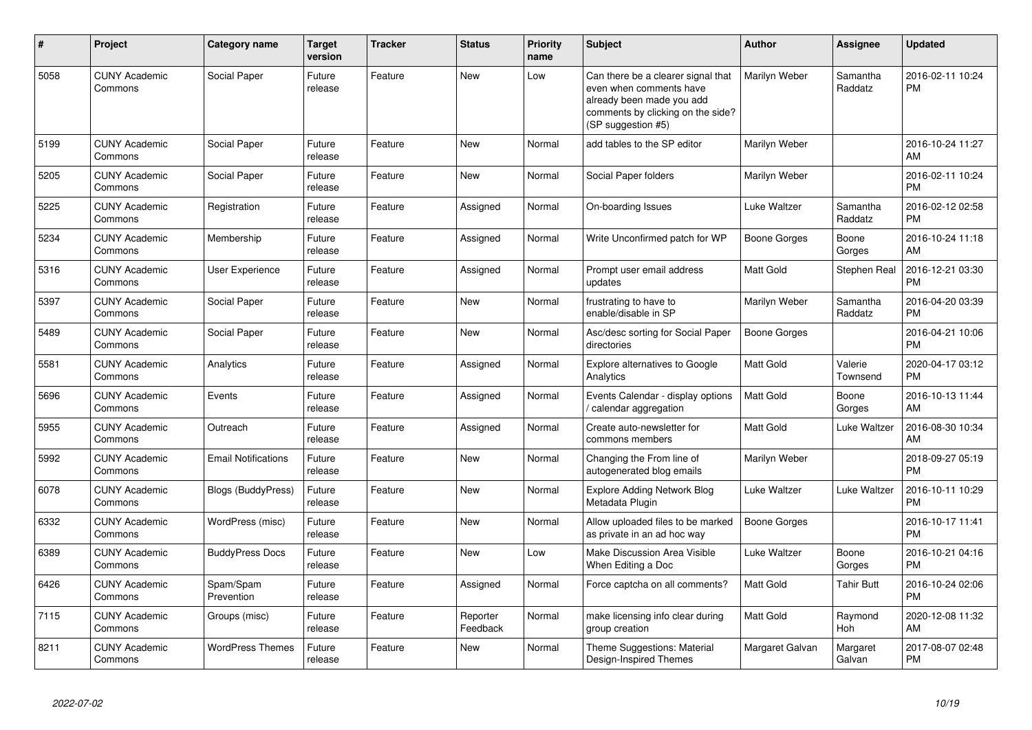| #    | <b>Project</b>                  | Category name              | <b>Target</b><br>version | <b>Tracker</b> | <b>Status</b>        | <b>Priority</b><br>name | <b>Subject</b>                                                                                                                                        | <b>Author</b>    | Assignee            | <b>Updated</b>                |
|------|---------------------------------|----------------------------|--------------------------|----------------|----------------------|-------------------------|-------------------------------------------------------------------------------------------------------------------------------------------------------|------------------|---------------------|-------------------------------|
| 5058 | <b>CUNY Academic</b><br>Commons | Social Paper               | Future<br>release        | Feature        | <b>New</b>           | Low                     | Can there be a clearer signal that<br>even when comments have<br>already been made you add<br>comments by clicking on the side?<br>(SP suggestion #5) | Marilyn Weber    | Samantha<br>Raddatz | 2016-02-11 10:24<br><b>PM</b> |
| 5199 | <b>CUNY Academic</b><br>Commons | Social Paper               | Future<br>release        | Feature        | <b>New</b>           | Normal                  | add tables to the SP editor                                                                                                                           | Marilyn Weber    |                     | 2016-10-24 11:27<br>AM        |
| 5205 | <b>CUNY Academic</b><br>Commons | Social Paper               | Future<br>release        | Feature        | <b>New</b>           | Normal                  | Social Paper folders                                                                                                                                  | Marilyn Weber    |                     | 2016-02-11 10:24<br><b>PM</b> |
| 5225 | <b>CUNY Academic</b><br>Commons | Registration               | Future<br>release        | Feature        | Assigned             | Normal                  | On-boarding Issues                                                                                                                                    | Luke Waltzer     | Samantha<br>Raddatz | 2016-02-12 02:58<br><b>PM</b> |
| 5234 | <b>CUNY Academic</b><br>Commons | Membership                 | Future<br>release        | Feature        | Assigned             | Normal                  | Write Unconfirmed patch for WP                                                                                                                        | Boone Gorges     | Boone<br>Gorges     | 2016-10-24 11:18<br>AM        |
| 5316 | <b>CUNY Academic</b><br>Commons | <b>User Experience</b>     | Future<br>release        | Feature        | Assigned             | Normal                  | Prompt user email address<br>updates                                                                                                                  | Matt Gold        | <b>Stephen Real</b> | 2016-12-21 03:30<br><b>PM</b> |
| 5397 | <b>CUNY Academic</b><br>Commons | Social Paper               | Future<br>release        | Feature        | <b>New</b>           | Normal                  | frustrating to have to<br>enable/disable in SP                                                                                                        | Marilyn Weber    | Samantha<br>Raddatz | 2016-04-20 03:39<br><b>PM</b> |
| 5489 | <b>CUNY Academic</b><br>Commons | Social Paper               | Future<br>release        | Feature        | New                  | Normal                  | Asc/desc sorting for Social Paper<br>directories                                                                                                      | Boone Gorges     |                     | 2016-04-21 10:06<br><b>PM</b> |
| 5581 | <b>CUNY Academic</b><br>Commons | Analytics                  | Future<br>release        | Feature        | Assigned             | Normal                  | Explore alternatives to Google<br>Analytics                                                                                                           | <b>Matt Gold</b> | Valerie<br>Townsend | 2020-04-17 03:12<br><b>PM</b> |
| 5696 | <b>CUNY Academic</b><br>Commons | Events                     | Future<br>release        | Feature        | Assigned             | Normal                  | Events Calendar - display options<br>calendar aggregation                                                                                             | <b>Matt Gold</b> | Boone<br>Gorges     | 2016-10-13 11:44<br>AM        |
| 5955 | <b>CUNY Academic</b><br>Commons | Outreach                   | Future<br>release        | Feature        | Assigned             | Normal                  | Create auto-newsletter for<br>commons members                                                                                                         | Matt Gold        | Luke Waltzer        | 2016-08-30 10:34<br>AM        |
| 5992 | <b>CUNY Academic</b><br>Commons | <b>Email Notifications</b> | Future<br>release        | Feature        | <b>New</b>           | Normal                  | Changing the From line of<br>autogenerated blog emails                                                                                                | Marilyn Weber    |                     | 2018-09-27 05:19<br><b>PM</b> |
| 6078 | <b>CUNY Academic</b><br>Commons | <b>Blogs (BuddyPress)</b>  | Future<br>release        | Feature        | New                  | Normal                  | <b>Explore Adding Network Blog</b><br>Metadata Plugin                                                                                                 | Luke Waltzer     | Luke Waltzer        | 2016-10-11 10:29<br><b>PM</b> |
| 6332 | <b>CUNY Academic</b><br>Commons | WordPress (misc)           | Future<br>release        | Feature        | <b>New</b>           | Normal                  | Allow uploaded files to be marked<br>as private in an ad hoc way                                                                                      | Boone Gorges     |                     | 2016-10-17 11:41<br><b>PM</b> |
| 6389 | <b>CUNY Academic</b><br>Commons | <b>BuddyPress Docs</b>     | Future<br>release        | Feature        | New                  | Low                     | Make Discussion Area Visible<br>When Editing a Doc                                                                                                    | Luke Waltzer     | Boone<br>Gorges     | 2016-10-21 04:16<br><b>PM</b> |
| 6426 | <b>CUNY Academic</b><br>Commons | Spam/Spam<br>Prevention    | Future<br>release        | Feature        | Assigned             | Normal                  | Force captcha on all comments?                                                                                                                        | <b>Matt Gold</b> | Tahir Butt          | 2016-10-24 02:06<br><b>PM</b> |
| 7115 | <b>CUNY Academic</b><br>Commons | Groups (misc)              | Future<br>release        | Feature        | Reporter<br>Feedback | Normal                  | make licensing info clear during<br>group creation                                                                                                    | <b>Matt Gold</b> | Raymond<br>Hoh      | 2020-12-08 11:32<br>AM        |
| 8211 | <b>CUNY Academic</b><br>Commons | <b>WordPress Themes</b>    | Future<br>release        | Feature        | <b>New</b>           | Normal                  | Theme Suggestions: Material<br>Design-Inspired Themes                                                                                                 | Margaret Galvan  | Margaret<br>Galvan  | 2017-08-07 02:48<br>PM        |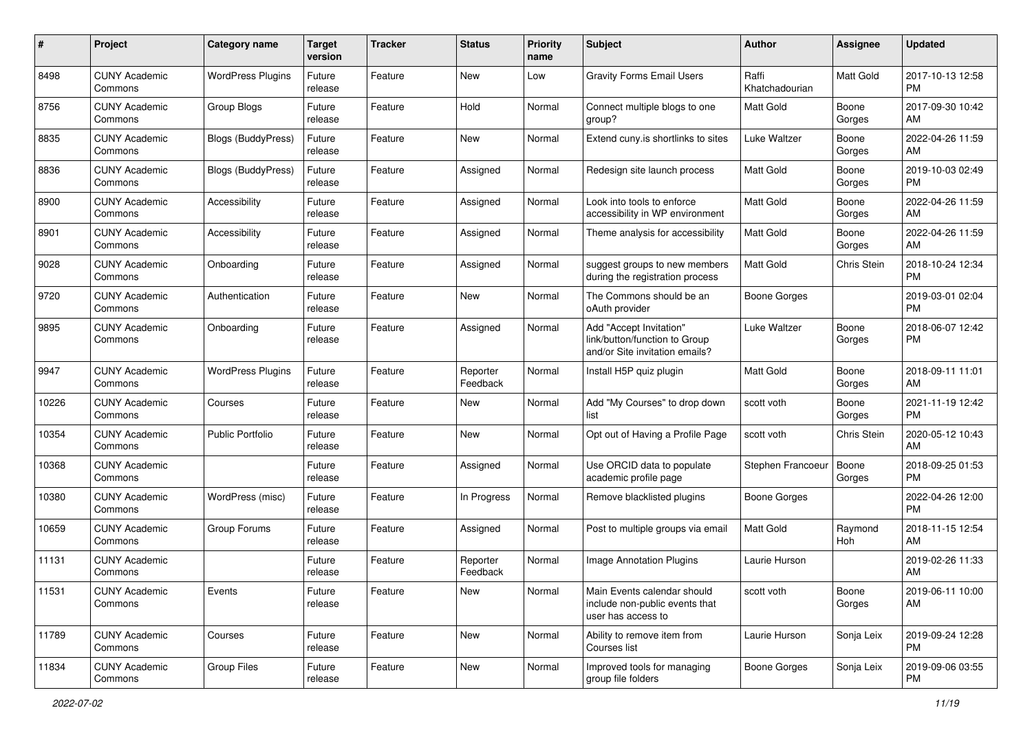| #     | Project                         | <b>Category name</b>     | <b>Target</b><br>version | <b>Tracker</b> | <b>Status</b>        | Priority<br>name | <b>Subject</b>                                                                             | <b>Author</b>           | <b>Assignee</b> | <b>Updated</b>                |
|-------|---------------------------------|--------------------------|--------------------------|----------------|----------------------|------------------|--------------------------------------------------------------------------------------------|-------------------------|-----------------|-------------------------------|
| 8498  | <b>CUNY Academic</b><br>Commons | <b>WordPress Plugins</b> | Future<br>release        | Feature        | New                  | Low              | <b>Gravity Forms Email Users</b>                                                           | Raffi<br>Khatchadourian | Matt Gold       | 2017-10-13 12:58<br>PM.       |
| 8756  | <b>CUNY Academic</b><br>Commons | Group Blogs              | Future<br>release        | Feature        | Hold                 | Normal           | Connect multiple blogs to one<br>group?                                                    | Matt Gold               | Boone<br>Gorges | 2017-09-30 10:42<br>AM.       |
| 8835  | <b>CUNY Academic</b><br>Commons | Blogs (BuddyPress)       | Future<br>release        | Feature        | New                  | Normal           | Extend cuny is shortlinks to sites                                                         | Luke Waltzer            | Boone<br>Gorges | 2022-04-26 11:59<br>AM.       |
| 8836  | <b>CUNY Academic</b><br>Commons | Blogs (BuddyPress)       | Future<br>release        | Feature        | Assigned             | Normal           | Redesign site launch process                                                               | <b>Matt Gold</b>        | Boone<br>Gorges | 2019-10-03 02:49<br><b>PM</b> |
| 8900  | <b>CUNY Academic</b><br>Commons | Accessibility            | Future<br>release        | Feature        | Assigned             | Normal           | Look into tools to enforce<br>accessibility in WP environment                              | <b>Matt Gold</b>        | Boone<br>Gorges | 2022-04-26 11:59<br>AM        |
| 8901  | <b>CUNY Academic</b><br>Commons | Accessibility            | Future<br>release        | Feature        | Assigned             | Normal           | Theme analysis for accessibility                                                           | <b>Matt Gold</b>        | Boone<br>Gorges | 2022-04-26 11:59<br>AM        |
| 9028  | <b>CUNY Academic</b><br>Commons | Onboarding               | Future<br>release        | Feature        | Assigned             | Normal           | suggest groups to new members<br>during the registration process                           | <b>Matt Gold</b>        | Chris Stein     | 2018-10-24 12:34<br><b>PM</b> |
| 9720  | <b>CUNY Academic</b><br>Commons | Authentication           | Future<br>release        | Feature        | <b>New</b>           | Normal           | The Commons should be an<br>oAuth provider                                                 | <b>Boone Gorges</b>     |                 | 2019-03-01 02:04<br><b>PM</b> |
| 9895  | <b>CUNY Academic</b><br>Commons | Onboarding               | Future<br>release        | Feature        | Assigned             | Normal           | Add "Accept Invitation"<br>link/button/function to Group<br>and/or Site invitation emails? | Luke Waltzer            | Boone<br>Gorges | 2018-06-07 12:42<br><b>PM</b> |
| 9947  | <b>CUNY Academic</b><br>Commons | <b>WordPress Plugins</b> | Future<br>release        | Feature        | Reporter<br>Feedback | Normal           | Install H5P quiz plugin                                                                    | <b>Matt Gold</b>        | Boone<br>Gorges | 2018-09-11 11:01<br>AM        |
| 10226 | <b>CUNY Academic</b><br>Commons | Courses                  | Future<br>release        | Feature        | New                  | Normal           | Add "My Courses" to drop down<br>list                                                      | scott voth              | Boone<br>Gorges | 2021-11-19 12:42<br><b>PM</b> |
| 10354 | <b>CUNY Academic</b><br>Commons | <b>Public Portfolio</b>  | Future<br>release        | Feature        | New                  | Normal           | Opt out of Having a Profile Page                                                           | scott voth              | Chris Stein     | 2020-05-12 10:43<br>AM.       |
| 10368 | <b>CUNY Academic</b><br>Commons |                          | Future<br>release        | Feature        | Assigned             | Normal           | Use ORCID data to populate<br>academic profile page                                        | Stephen Francoeur       | Boone<br>Gorges | 2018-09-25 01:53<br><b>PM</b> |
| 10380 | <b>CUNY Academic</b><br>Commons | WordPress (misc)         | Future<br>release        | Feature        | In Progress          | Normal           | Remove blacklisted plugins                                                                 | Boone Gorges            |                 | 2022-04-26 12:00<br><b>PM</b> |
| 10659 | <b>CUNY Academic</b><br>Commons | Group Forums             | Future<br>release        | Feature        | Assigned             | Normal           | Post to multiple groups via email                                                          | <b>Matt Gold</b>        | Raymond<br>Hoh  | 2018-11-15 12:54<br>AM        |
| 11131 | <b>CUNY Academic</b><br>Commons |                          | Future<br>release        | Feature        | Reporter<br>Feedback | Normal           | <b>Image Annotation Plugins</b>                                                            | Laurie Hurson           |                 | 2019-02-26 11:33<br>AM        |
| 11531 | <b>CUNY Academic</b><br>Commons | Events                   | Future<br>release        | Feature        | New                  | Normal           | Main Events calendar should<br>include non-public events that<br>user has access to        | scott voth              | Boone<br>Gorges | 2019-06-11 10:00<br>AM        |
| 11789 | <b>CUNY Academic</b><br>Commons | Courses                  | Future<br>release        | Feature        | New                  | Normal           | Ability to remove item from<br>Courses list                                                | Laurie Hurson           | Sonja Leix      | 2019-09-24 12:28<br><b>PM</b> |
| 11834 | <b>CUNY Academic</b><br>Commons | Group Files              | Future<br>release        | Feature        | New                  | Normal           | Improved tools for managing<br>group file folders                                          | Boone Gorges            | Sonja Leix      | 2019-09-06 03:55<br><b>PM</b> |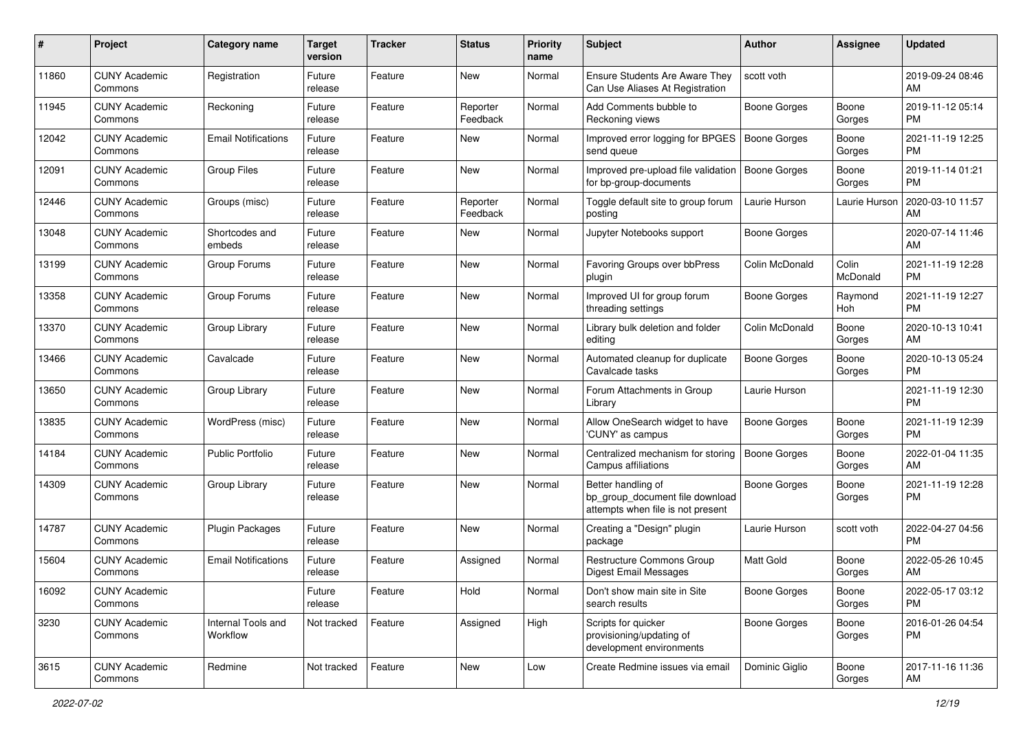| #     | Project                         | <b>Category name</b>           | <b>Target</b><br>version | <b>Tracker</b> | <b>Status</b>        | <b>Priority</b><br>name | <b>Subject</b>                                                                             | <b>Author</b>       | <b>Assignee</b>   | <b>Updated</b>                |
|-------|---------------------------------|--------------------------------|--------------------------|----------------|----------------------|-------------------------|--------------------------------------------------------------------------------------------|---------------------|-------------------|-------------------------------|
| 11860 | <b>CUNY Academic</b><br>Commons | Registration                   | Future<br>release        | Feature        | New                  | Normal                  | <b>Ensure Students Are Aware They</b><br>Can Use Aliases At Registration                   | scott voth          |                   | 2019-09-24 08:46<br>AM        |
| 11945 | <b>CUNY Academic</b><br>Commons | Reckoning                      | Future<br>release        | Feature        | Reporter<br>Feedback | Normal                  | Add Comments bubble to<br>Reckoning views                                                  | Boone Gorges        | Boone<br>Gorges   | 2019-11-12 05:14<br><b>PM</b> |
| 12042 | <b>CUNY Academic</b><br>Commons | <b>Email Notifications</b>     | Future<br>release        | Feature        | New                  | Normal                  | Improved error logging for BPGES<br>send queue                                             | <b>Boone Gorges</b> | Boone<br>Gorges   | 2021-11-19 12:25<br><b>PM</b> |
| 12091 | <b>CUNY Academic</b><br>Commons | <b>Group Files</b>             | Future<br>release        | Feature        | New                  | Normal                  | Improved pre-upload file validation<br>for bp-group-documents                              | <b>Boone Gorges</b> | Boone<br>Gorges   | 2019-11-14 01:21<br><b>PM</b> |
| 12446 | <b>CUNY Academic</b><br>Commons | Groups (misc)                  | Future<br>release        | Feature        | Reporter<br>Feedback | Normal                  | Toggle default site to group forum<br>posting                                              | Laurie Hurson       | Laurie Hurson     | 2020-03-10 11:57<br>AM        |
| 13048 | <b>CUNY Academic</b><br>Commons | Shortcodes and<br>embeds       | Future<br>release        | Feature        | New                  | Normal                  | Jupyter Notebooks support                                                                  | Boone Gorges        |                   | 2020-07-14 11:46<br>AM        |
| 13199 | <b>CUNY Academic</b><br>Commons | Group Forums                   | Future<br>release        | Feature        | New                  | Normal                  | Favoring Groups over bbPress<br>plugin                                                     | Colin McDonald      | Colin<br>McDonald | 2021-11-19 12:28<br><b>PM</b> |
| 13358 | <b>CUNY Academic</b><br>Commons | Group Forums                   | Future<br>release        | Feature        | New                  | Normal                  | Improved UI for group forum<br>threading settings                                          | Boone Gorges        | Raymond<br>Hoh    | 2021-11-19 12:27<br><b>PM</b> |
| 13370 | <b>CUNY Academic</b><br>Commons | Group Library                  | Future<br>release        | Feature        | New                  | Normal                  | Library bulk deletion and folder<br>editing                                                | Colin McDonald      | Boone<br>Gorges   | 2020-10-13 10:41<br>AM        |
| 13466 | <b>CUNY Academic</b><br>Commons | Cavalcade                      | Future<br>release        | Feature        | New                  | Normal                  | Automated cleanup for duplicate<br>Cavalcade tasks                                         | <b>Boone Gorges</b> | Boone<br>Gorges   | 2020-10-13 05:24<br><b>PM</b> |
| 13650 | <b>CUNY Academic</b><br>Commons | Group Library                  | Future<br>release        | Feature        | New                  | Normal                  | Forum Attachments in Group<br>Library                                                      | Laurie Hurson       |                   | 2021-11-19 12:30<br><b>PM</b> |
| 13835 | <b>CUNY Academic</b><br>Commons | WordPress (misc)               | Future<br>release        | Feature        | New                  | Normal                  | Allow OneSearch widget to have<br>'CUNY' as campus                                         | Boone Gorges        | Boone<br>Gorges   | 2021-11-19 12:39<br><b>PM</b> |
| 14184 | <b>CUNY Academic</b><br>Commons | <b>Public Portfolio</b>        | Future<br>release        | Feature        | New                  | Normal                  | Centralized mechanism for storing<br>Campus affiliations                                   | <b>Boone Gorges</b> | Boone<br>Gorges   | 2022-01-04 11:35<br>AM        |
| 14309 | <b>CUNY Academic</b><br>Commons | Group Library                  | Future<br>release        | Feature        | New                  | Normal                  | Better handling of<br>bp_group_document file download<br>attempts when file is not present | <b>Boone Gorges</b> | Boone<br>Gorges   | 2021-11-19 12:28<br><b>PM</b> |
| 14787 | <b>CUNY Academic</b><br>Commons | Plugin Packages                | Future<br>release        | Feature        | New                  | Normal                  | Creating a "Design" plugin<br>package                                                      | Laurie Hurson       | scott voth        | 2022-04-27 04:56<br><b>PM</b> |
| 15604 | <b>CUNY Academic</b><br>Commons | <b>Email Notifications</b>     | Future<br>release        | Feature        | Assigned             | Normal                  | Restructure Commons Group<br>Digest Email Messages                                         | <b>Matt Gold</b>    | Boone<br>Gorges   | 2022-05-26 10:45<br>AM        |
| 16092 | <b>CUNY Academic</b><br>Commons |                                | Future<br>release        | Feature        | Hold                 | Normal                  | Don't show main site in Site<br>search results                                             | <b>Boone Gorges</b> | Boone<br>Gorges   | 2022-05-17 03:12<br><b>PM</b> |
| 3230  | <b>CUNY Academic</b><br>Commons | Internal Tools and<br>Workflow | Not tracked              | Feature        | Assigned             | High                    | Scripts for quicker<br>provisioning/updating of<br>development environments                | Boone Gorges        | Boone<br>Gorges   | 2016-01-26 04:54<br>PM        |
| 3615  | <b>CUNY Academic</b><br>Commons | Redmine                        | Not tracked              | Feature        | New                  | Low                     | Create Redmine issues via email                                                            | Dominic Giglio      | Boone<br>Gorges   | 2017-11-16 11:36<br>AM        |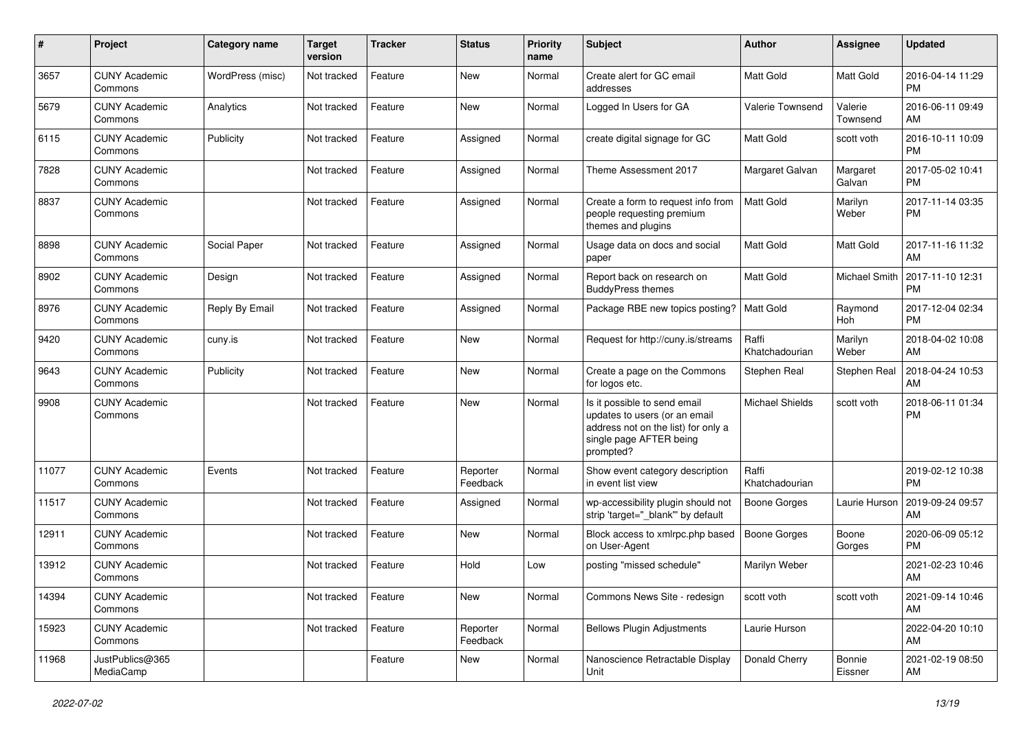| #     | Project                         | <b>Category name</b> | <b>Target</b><br>version | <b>Tracker</b> | <b>Status</b>        | <b>Priority</b><br>name | Subject                                                                                                                                      | Author                  | <b>Assignee</b>     | <b>Updated</b>                |
|-------|---------------------------------|----------------------|--------------------------|----------------|----------------------|-------------------------|----------------------------------------------------------------------------------------------------------------------------------------------|-------------------------|---------------------|-------------------------------|
| 3657  | <b>CUNY Academic</b><br>Commons | WordPress (misc)     | Not tracked              | Feature        | <b>New</b>           | Normal                  | Create alert for GC email<br>addresses                                                                                                       | <b>Matt Gold</b>        | Matt Gold           | 2016-04-14 11:29<br>PM        |
| 5679  | <b>CUNY Academic</b><br>Commons | Analytics            | Not tracked              | Feature        | New                  | Normal                  | Logged In Users for GA                                                                                                                       | Valerie Townsend        | Valerie<br>Townsend | 2016-06-11 09:49<br>AM        |
| 6115  | <b>CUNY Academic</b><br>Commons | Publicity            | Not tracked              | Feature        | Assigned             | Normal                  | create digital signage for GC                                                                                                                | Matt Gold               | scott voth          | 2016-10-11 10:09<br><b>PM</b> |
| 7828  | <b>CUNY Academic</b><br>Commons |                      | Not tracked              | Feature        | Assigned             | Normal                  | Theme Assessment 2017                                                                                                                        | Margaret Galvan         | Margaret<br>Galvan  | 2017-05-02 10:41<br><b>PM</b> |
| 8837  | <b>CUNY Academic</b><br>Commons |                      | Not tracked              | Feature        | Assigned             | Normal                  | Create a form to request info from<br>people requesting premium<br>themes and plugins                                                        | Matt Gold               | Marilyn<br>Weber    | 2017-11-14 03:35<br><b>PM</b> |
| 8898  | <b>CUNY Academic</b><br>Commons | Social Paper         | Not tracked              | Feature        | Assigned             | Normal                  | Usage data on docs and social<br>paper                                                                                                       | Matt Gold               | <b>Matt Gold</b>    | 2017-11-16 11:32<br>AM        |
| 8902  | <b>CUNY Academic</b><br>Commons | Design               | Not tracked              | Feature        | Assigned             | Normal                  | Report back on research on<br><b>BuddyPress themes</b>                                                                                       | Matt Gold               | Michael Smith       | 2017-11-10 12:31<br><b>PM</b> |
| 8976  | <b>CUNY Academic</b><br>Commons | Reply By Email       | Not tracked              | Feature        | Assigned             | Normal                  | Package RBE new topics posting?                                                                                                              | <b>Matt Gold</b>        | Raymond<br>Hoh      | 2017-12-04 02:34<br><b>PM</b> |
| 9420  | <b>CUNY Academic</b><br>Commons | cuny.is              | Not tracked              | Feature        | <b>New</b>           | Normal                  | Request for http://cuny.is/streams                                                                                                           | Raffi<br>Khatchadourian | Marilyn<br>Weber    | 2018-04-02 10:08<br>AM        |
| 9643  | <b>CUNY Academic</b><br>Commons | Publicity            | Not tracked              | Feature        | New                  | Normal                  | Create a page on the Commons<br>for logos etc.                                                                                               | Stephen Real            | Stephen Real        | 2018-04-24 10:53<br>AM        |
| 9908  | <b>CUNY Academic</b><br>Commons |                      | Not tracked              | Feature        | New                  | Normal                  | Is it possible to send email<br>updates to users (or an email<br>address not on the list) for only a<br>single page AFTER being<br>prompted? | <b>Michael Shields</b>  | scott voth          | 2018-06-11 01:34<br><b>PM</b> |
| 11077 | <b>CUNY Academic</b><br>Commons | Events               | Not tracked              | Feature        | Reporter<br>Feedback | Normal                  | Show event category description<br>in event list view                                                                                        | Raffi<br>Khatchadourian |                     | 2019-02-12 10:38<br><b>PM</b> |
| 11517 | <b>CUNY Academic</b><br>Commons |                      | Not tracked              | Feature        | Assigned             | Normal                  | wp-accessibility plugin should not<br>strip 'target="_blank" by default                                                                      | <b>Boone Gorges</b>     | Laurie Hurson       | 2019-09-24 09:57<br>AM        |
| 12911 | <b>CUNY Academic</b><br>Commons |                      | Not tracked              | Feature        | New                  | Normal                  | Block access to xmlrpc.php based<br>on User-Agent                                                                                            | <b>Boone Gorges</b>     | Boone<br>Gorges     | 2020-06-09 05:12<br><b>PM</b> |
| 13912 | <b>CUNY Academic</b><br>Commons |                      | Not tracked              | Feature        | Hold                 | Low                     | posting "missed schedule"                                                                                                                    | Marilyn Weber           |                     | 2021-02-23 10:46<br>AM        |
| 14394 | <b>CUNY Academic</b><br>Commons |                      | Not tracked              | Feature        | New                  | Normal                  | Commons News Site - redesign                                                                                                                 | scott voth              | scott voth          | 2021-09-14 10:46<br>AM        |
| 15923 | <b>CUNY Academic</b><br>Commons |                      | Not tracked              | Feature        | Reporter<br>Feedback | Normal                  | <b>Bellows Plugin Adjustments</b>                                                                                                            | Laurie Hurson           |                     | 2022-04-20 10:10<br>AM        |
| 11968 | JustPublics@365<br>MediaCamp    |                      |                          | Feature        | New                  | Normal                  | Nanoscience Retractable Display<br>Unit                                                                                                      | Donald Cherry           | Bonnie<br>Eissner   | 2021-02-19 08:50<br>AM        |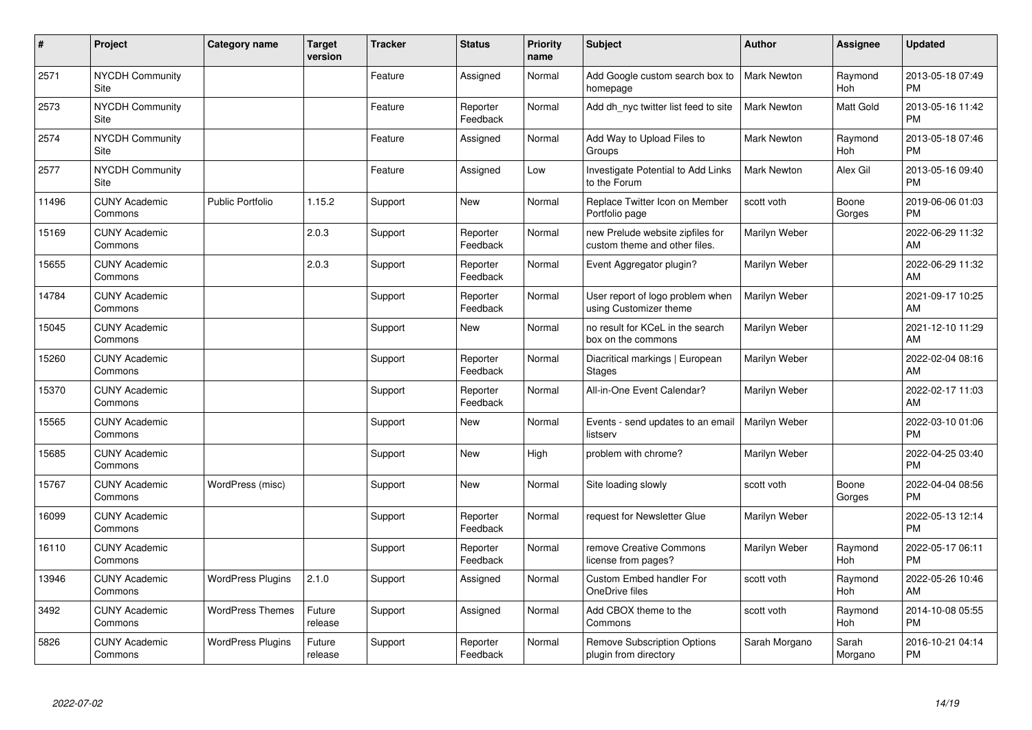| #     | Project                         | <b>Category name</b>     | <b>Target</b><br>version | <b>Tracker</b> | <b>Status</b>        | <b>Priority</b><br>name | <b>Subject</b>                                                    | <b>Author</b>      | <b>Assignee</b>  | <b>Updated</b>                |
|-------|---------------------------------|--------------------------|--------------------------|----------------|----------------------|-------------------------|-------------------------------------------------------------------|--------------------|------------------|-------------------------------|
| 2571  | <b>NYCDH Community</b><br>Site  |                          |                          | Feature        | Assigned             | Normal                  | Add Google custom search box to<br>homepage                       | Mark Newton        | Raymond<br>Hoh   | 2013-05-18 07:49<br><b>PM</b> |
| 2573  | <b>NYCDH Community</b><br>Site  |                          |                          | Feature        | Reporter<br>Feedback | Normal                  | Add dh_nyc twitter list feed to site                              | <b>Mark Newton</b> | Matt Gold        | 2013-05-16 11:42<br><b>PM</b> |
| 2574  | <b>NYCDH Community</b><br>Site  |                          |                          | Feature        | Assigned             | Normal                  | Add Way to Upload Files to<br>Groups                              | <b>Mark Newton</b> | Raymond<br>Hoh   | 2013-05-18 07:46<br><b>PM</b> |
| 2577  | NYCDH Community<br><b>Site</b>  |                          |                          | Feature        | Assigned             | Low                     | Investigate Potential to Add Links<br>to the Forum                | <b>Mark Newton</b> | Alex Gil         | 2013-05-16 09:40<br><b>PM</b> |
| 11496 | <b>CUNY Academic</b><br>Commons | <b>Public Portfolio</b>  | 1.15.2                   | Support        | <b>New</b>           | Normal                  | Replace Twitter Icon on Member<br>Portfolio page                  | scott voth         | Boone<br>Gorges  | 2019-06-06 01:03<br><b>PM</b> |
| 15169 | <b>CUNY Academic</b><br>Commons |                          | 2.0.3                    | Support        | Reporter<br>Feedback | Normal                  | new Prelude website zipfiles for<br>custom theme and other files. | Marilyn Weber      |                  | 2022-06-29 11:32<br>AM        |
| 15655 | <b>CUNY Academic</b><br>Commons |                          | 2.0.3                    | Support        | Reporter<br>Feedback | Normal                  | Event Aggregator plugin?                                          | Marilyn Weber      |                  | 2022-06-29 11:32<br>AM        |
| 14784 | <b>CUNY Academic</b><br>Commons |                          |                          | Support        | Reporter<br>Feedback | Normal                  | User report of logo problem when<br>using Customizer theme        | Marilyn Weber      |                  | 2021-09-17 10:25<br>AM        |
| 15045 | <b>CUNY Academic</b><br>Commons |                          |                          | Support        | <b>New</b>           | Normal                  | no result for KCeL in the search<br>box on the commons            | Marilyn Weber      |                  | 2021-12-10 11:29<br>AM        |
| 15260 | <b>CUNY Academic</b><br>Commons |                          |                          | Support        | Reporter<br>Feedback | Normal                  | Diacritical markings   European<br>Stages                         | Marilyn Weber      |                  | 2022-02-04 08:16<br>AM        |
| 15370 | <b>CUNY Academic</b><br>Commons |                          |                          | Support        | Reporter<br>Feedback | Normal                  | All-in-One Event Calendar?                                        | Marilyn Weber      |                  | 2022-02-17 11:03<br>AM        |
| 15565 | <b>CUNY Academic</b><br>Commons |                          |                          | Support        | <b>New</b>           | Normal                  | Events - send updates to an email<br>listserv                     | Marilyn Weber      |                  | 2022-03-10 01:06<br><b>PM</b> |
| 15685 | <b>CUNY Academic</b><br>Commons |                          |                          | Support        | New                  | High                    | problem with chrome?                                              | Marilyn Weber      |                  | 2022-04-25 03:40<br><b>PM</b> |
| 15767 | <b>CUNY Academic</b><br>Commons | WordPress (misc)         |                          | Support        | <b>New</b>           | Normal                  | Site loading slowly                                               | scott voth         | Boone<br>Gorges  | 2022-04-04 08:56<br><b>PM</b> |
| 16099 | <b>CUNY Academic</b><br>Commons |                          |                          | Support        | Reporter<br>Feedback | Normal                  | request for Newsletter Glue                                       | Marilyn Weber      |                  | 2022-05-13 12:14<br><b>PM</b> |
| 16110 | <b>CUNY Academic</b><br>Commons |                          |                          | Support        | Reporter<br>Feedback | Normal                  | remove Creative Commons<br>license from pages?                    | Marilyn Weber      | Raymond<br>Hoh   | 2022-05-17 06:11<br><b>PM</b> |
| 13946 | <b>CUNY Academic</b><br>Commons | <b>WordPress Plugins</b> | 2.1.0                    | Support        | Assigned             | Normal                  | Custom Embed handler For<br>OneDrive files                        | scott voth         | Raymond<br>Hoh   | 2022-05-26 10:46<br>AM        |
| 3492  | <b>CUNY Academic</b><br>Commons | <b>WordPress Themes</b>  | Future<br>release        | Support        | Assigned             | Normal                  | Add CBOX theme to the<br>Commons                                  | scott voth         | Raymond<br>Hoh   | 2014-10-08 05:55<br><b>PM</b> |
| 5826  | <b>CUNY Academic</b><br>Commons | <b>WordPress Plugins</b> | Future<br>release        | Support        | Reporter<br>Feedback | Normal                  | <b>Remove Subscription Options</b><br>plugin from directory       | Sarah Morgano      | Sarah<br>Morgano | 2016-10-21 04:14<br><b>PM</b> |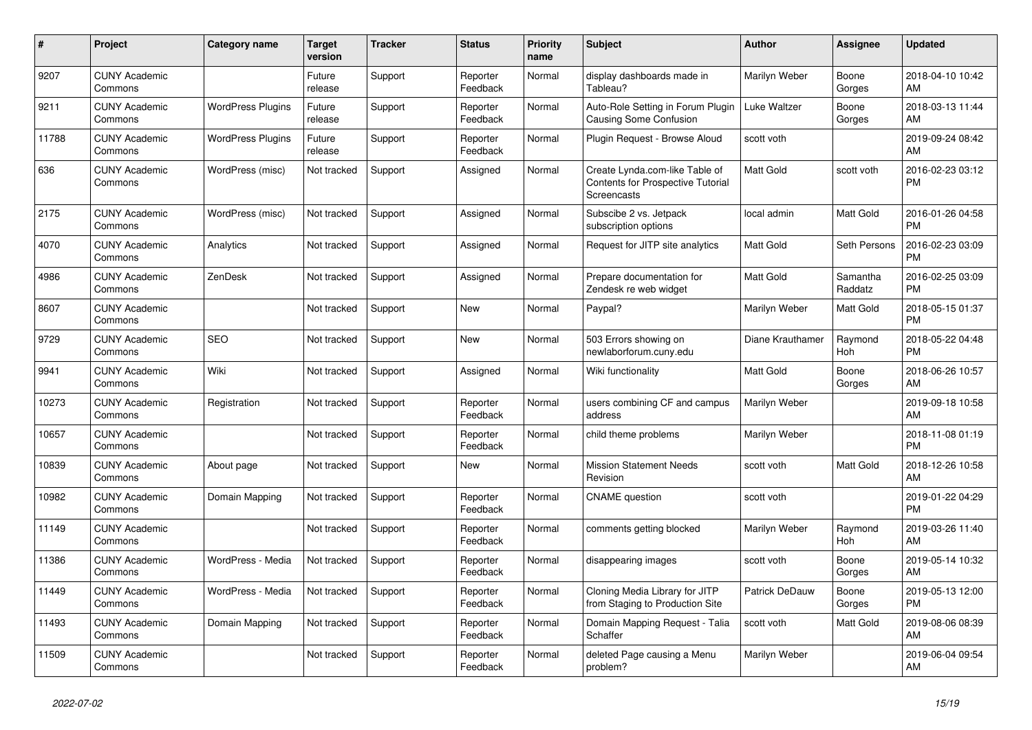| #     | <b>Project</b>                  | Category name            | <b>Target</b><br>version | <b>Tracker</b> | <b>Status</b>        | Priority<br>name | <b>Subject</b>                                                                            | <b>Author</b>         | Assignee            | <b>Updated</b>                |
|-------|---------------------------------|--------------------------|--------------------------|----------------|----------------------|------------------|-------------------------------------------------------------------------------------------|-----------------------|---------------------|-------------------------------|
| 9207  | <b>CUNY Academic</b><br>Commons |                          | Future<br>release        | Support        | Reporter<br>Feedback | Normal           | display dashboards made in<br>Tableau?                                                    | Marilyn Weber         | Boone<br>Gorges     | 2018-04-10 10:42<br>AM        |
| 9211  | <b>CUNY Academic</b><br>Commons | <b>WordPress Plugins</b> | Future<br>release        | Support        | Reporter<br>Feedback | Normal           | Auto-Role Setting in Forum Plugin<br>Causing Some Confusion                               | Luke Waltzer          | Boone<br>Gorges     | 2018-03-13 11:44<br>AM        |
| 11788 | <b>CUNY Academic</b><br>Commons | <b>WordPress Plugins</b> | Future<br>release        | Support        | Reporter<br>Feedback | Normal           | Plugin Request - Browse Aloud                                                             | scott voth            |                     | 2019-09-24 08:42<br>AM        |
| 636   | <b>CUNY Academic</b><br>Commons | WordPress (misc)         | Not tracked              | Support        | Assigned             | Normal           | Create Lynda.com-like Table of<br><b>Contents for Prospective Tutorial</b><br>Screencasts | <b>Matt Gold</b>      | scott voth          | 2016-02-23 03:12<br><b>PM</b> |
| 2175  | <b>CUNY Academic</b><br>Commons | WordPress (misc)         | Not tracked              | Support        | Assigned             | Normal           | Subscibe 2 vs. Jetpack<br>subscription options                                            | local admin           | Matt Gold           | 2016-01-26 04:58<br><b>PM</b> |
| 4070  | <b>CUNY Academic</b><br>Commons | Analytics                | Not tracked              | Support        | Assigned             | Normal           | Request for JITP site analytics                                                           | <b>Matt Gold</b>      | Seth Persons        | 2016-02-23 03:09<br><b>PM</b> |
| 4986  | <b>CUNY Academic</b><br>Commons | ZenDesk                  | Not tracked              | Support        | Assigned             | Normal           | Prepare documentation for<br>Zendesk re web widget                                        | <b>Matt Gold</b>      | Samantha<br>Raddatz | 2016-02-25 03:09<br><b>PM</b> |
| 8607  | <b>CUNY Academic</b><br>Commons |                          | Not tracked              | Support        | New                  | Normal           | Paypal?                                                                                   | Marilyn Weber         | Matt Gold           | 2018-05-15 01:37<br><b>PM</b> |
| 9729  | <b>CUNY Academic</b><br>Commons | <b>SEO</b>               | Not tracked              | Support        | New                  | Normal           | 503 Errors showing on<br>newlaborforum.cuny.edu                                           | Diane Krauthamer      | Raymond<br>Hoh      | 2018-05-22 04:48<br><b>PM</b> |
| 9941  | <b>CUNY Academic</b><br>Commons | Wiki                     | Not tracked              | Support        | Assigned             | Normal           | Wiki functionality                                                                        | <b>Matt Gold</b>      | Boone<br>Gorges     | 2018-06-26 10:57<br>AM        |
| 10273 | <b>CUNY Academic</b><br>Commons | Registration             | Not tracked              | Support        | Reporter<br>Feedback | Normal           | users combining CF and campus<br>address                                                  | Marilyn Weber         |                     | 2019-09-18 10:58<br>AM        |
| 10657 | <b>CUNY Academic</b><br>Commons |                          | Not tracked              | Support        | Reporter<br>Feedback | Normal           | child theme problems                                                                      | Marilyn Weber         |                     | 2018-11-08 01:19<br><b>PM</b> |
| 10839 | <b>CUNY Academic</b><br>Commons | About page               | Not tracked              | Support        | <b>New</b>           | Normal           | <b>Mission Statement Needs</b><br>Revision                                                | scott voth            | Matt Gold           | 2018-12-26 10:58<br>AM        |
| 10982 | <b>CUNY Academic</b><br>Commons | Domain Mapping           | Not tracked              | Support        | Reporter<br>Feedback | Normal           | <b>CNAME</b> question                                                                     | scott voth            |                     | 2019-01-22 04:29<br><b>PM</b> |
| 11149 | <b>CUNY Academic</b><br>Commons |                          | Not tracked              | Support        | Reporter<br>Feedback | Normal           | comments getting blocked                                                                  | Marilyn Weber         | Raymond<br>Hoh      | 2019-03-26 11:40<br>AM        |
| 11386 | <b>CUNY Academic</b><br>Commons | WordPress - Media        | Not tracked              | Support        | Reporter<br>Feedback | Normal           | disappearing images                                                                       | scott voth            | Boone<br>Gorges     | 2019-05-14 10:32<br>AM        |
| 11449 | <b>CUNY Academic</b><br>Commons | WordPress - Media        | Not tracked              | Support        | Reporter<br>Feedback | Normal           | Cloning Media Library for JITP<br>from Staging to Production Site                         | <b>Patrick DeDauw</b> | Boone<br>Gorges     | 2019-05-13 12:00<br><b>PM</b> |
| 11493 | <b>CUNY Academic</b><br>Commons | Domain Mapping           | Not tracked              | Support        | Reporter<br>Feedback | Normal           | Domain Mapping Request - Talia<br>Schaffer                                                | scott voth            | Matt Gold           | 2019-08-06 08:39<br>AM        |
| 11509 | <b>CUNY Academic</b><br>Commons |                          | Not tracked              | Support        | Reporter<br>Feedback | Normal           | deleted Page causing a Menu<br>problem?                                                   | Marilyn Weber         |                     | 2019-06-04 09:54<br>AM        |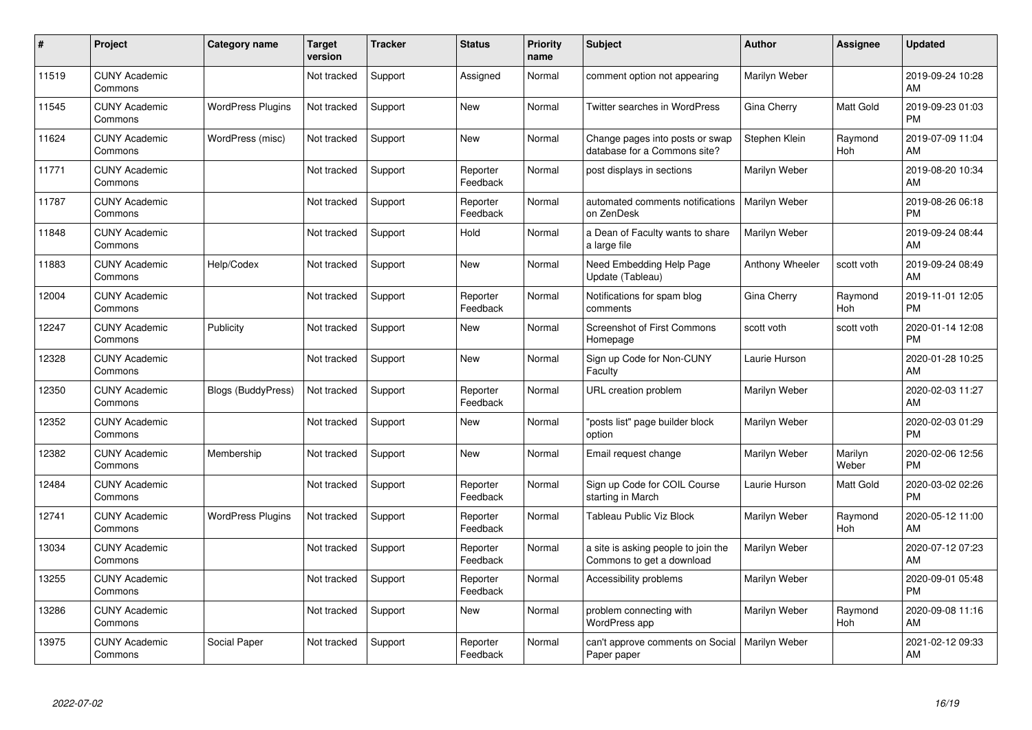| #     | Project                         | <b>Category name</b>      | <b>Target</b><br>version | <b>Tracker</b> | <b>Status</b>        | <b>Priority</b><br>name | <b>Subject</b>                                                   | <b>Author</b>   | <b>Assignee</b>  | <b>Updated</b>                |
|-------|---------------------------------|---------------------------|--------------------------|----------------|----------------------|-------------------------|------------------------------------------------------------------|-----------------|------------------|-------------------------------|
| 11519 | <b>CUNY Academic</b><br>Commons |                           | Not tracked              | Support        | Assigned             | Normal                  | comment option not appearing                                     | Marilyn Weber   |                  | 2019-09-24 10:28<br>AM        |
| 11545 | <b>CUNY Academic</b><br>Commons | <b>WordPress Plugins</b>  | Not tracked              | Support        | <b>New</b>           | Normal                  | Twitter searches in WordPress                                    | Gina Cherry     | Matt Gold        | 2019-09-23 01:03<br><b>PM</b> |
| 11624 | <b>CUNY Academic</b><br>Commons | WordPress (misc)          | Not tracked              | Support        | <b>New</b>           | Normal                  | Change pages into posts or swap<br>database for a Commons site?  | Stephen Klein   | Raymond<br>Hoh   | 2019-07-09 11:04<br>AM        |
| 11771 | <b>CUNY Academic</b><br>Commons |                           | Not tracked              | Support        | Reporter<br>Feedback | Normal                  | post displays in sections                                        | Marilyn Weber   |                  | 2019-08-20 10:34<br>AM        |
| 11787 | <b>CUNY Academic</b><br>Commons |                           | Not tracked              | Support        | Reporter<br>Feedback | Normal                  | automated comments notifications<br>on ZenDesk                   | Marilyn Weber   |                  | 2019-08-26 06:18<br><b>PM</b> |
| 11848 | <b>CUNY Academic</b><br>Commons |                           | Not tracked              | Support        | Hold                 | Normal                  | a Dean of Faculty wants to share<br>a large file                 | Marilyn Weber   |                  | 2019-09-24 08:44<br>AM        |
| 11883 | <b>CUNY Academic</b><br>Commons | Help/Codex                | Not tracked              | Support        | <b>New</b>           | Normal                  | Need Embedding Help Page<br>Update (Tableau)                     | Anthony Wheeler | scott voth       | 2019-09-24 08:49<br>AM        |
| 12004 | <b>CUNY Academic</b><br>Commons |                           | Not tracked              | Support        | Reporter<br>Feedback | Normal                  | Notifications for spam blog<br>comments                          | Gina Cherry     | Raymond<br>Hoh   | 2019-11-01 12:05<br><b>PM</b> |
| 12247 | <b>CUNY Academic</b><br>Commons | Publicity                 | Not tracked              | Support        | New                  | Normal                  | <b>Screenshot of First Commons</b><br>Homepage                   | scott voth      | scott voth       | 2020-01-14 12:08<br><b>PM</b> |
| 12328 | <b>CUNY Academic</b><br>Commons |                           | Not tracked              | Support        | <b>New</b>           | Normal                  | Sign up Code for Non-CUNY<br>Faculty                             | Laurie Hurson   |                  | 2020-01-28 10:25<br>AM        |
| 12350 | <b>CUNY Academic</b><br>Commons | <b>Blogs (BuddyPress)</b> | Not tracked              | Support        | Reporter<br>Feedback | Normal                  | URL creation problem                                             | Marilyn Weber   |                  | 2020-02-03 11:27<br>AM        |
| 12352 | <b>CUNY Academic</b><br>Commons |                           | Not tracked              | Support        | <b>New</b>           | Normal                  | "posts list" page builder block<br>option                        | Marilyn Weber   |                  | 2020-02-03 01:29<br><b>PM</b> |
| 12382 | <b>CUNY Academic</b><br>Commons | Membership                | Not tracked              | Support        | New                  | Normal                  | Email request change                                             | Marilyn Weber   | Marilyn<br>Weber | 2020-02-06 12:56<br><b>PM</b> |
| 12484 | <b>CUNY Academic</b><br>Commons |                           | Not tracked              | Support        | Reporter<br>Feedback | Normal                  | Sign up Code for COIL Course<br>starting in March                | Laurie Hurson   | Matt Gold        | 2020-03-02 02:26<br><b>PM</b> |
| 12741 | <b>CUNY Academic</b><br>Commons | <b>WordPress Plugins</b>  | Not tracked              | Support        | Reporter<br>Feedback | Normal                  | Tableau Public Viz Block                                         | Marilyn Weber   | Raymond<br>Hoh   | 2020-05-12 11:00<br>AM        |
| 13034 | <b>CUNY Academic</b><br>Commons |                           | Not tracked              | Support        | Reporter<br>Feedback | Normal                  | a site is asking people to join the<br>Commons to get a download | Marilyn Weber   |                  | 2020-07-12 07:23<br>AM        |
| 13255 | <b>CUNY Academic</b><br>Commons |                           | Not tracked              | Support        | Reporter<br>Feedback | Normal                  | Accessibility problems                                           | Marilyn Weber   |                  | 2020-09-01 05:48<br><b>PM</b> |
| 13286 | <b>CUNY Academic</b><br>Commons |                           | Not tracked              | Support        | New                  | Normal                  | problem connecting with<br><b>WordPress app</b>                  | Marilyn Weber   | Raymond<br>Hoh   | 2020-09-08 11:16<br>AM        |
| 13975 | <b>CUNY Academic</b><br>Commons | Social Paper              | Not tracked              | Support        | Reporter<br>Feedback | Normal                  | can't approve comments on Social<br>Paper paper                  | Marilyn Weber   |                  | 2021-02-12 09:33<br>AM        |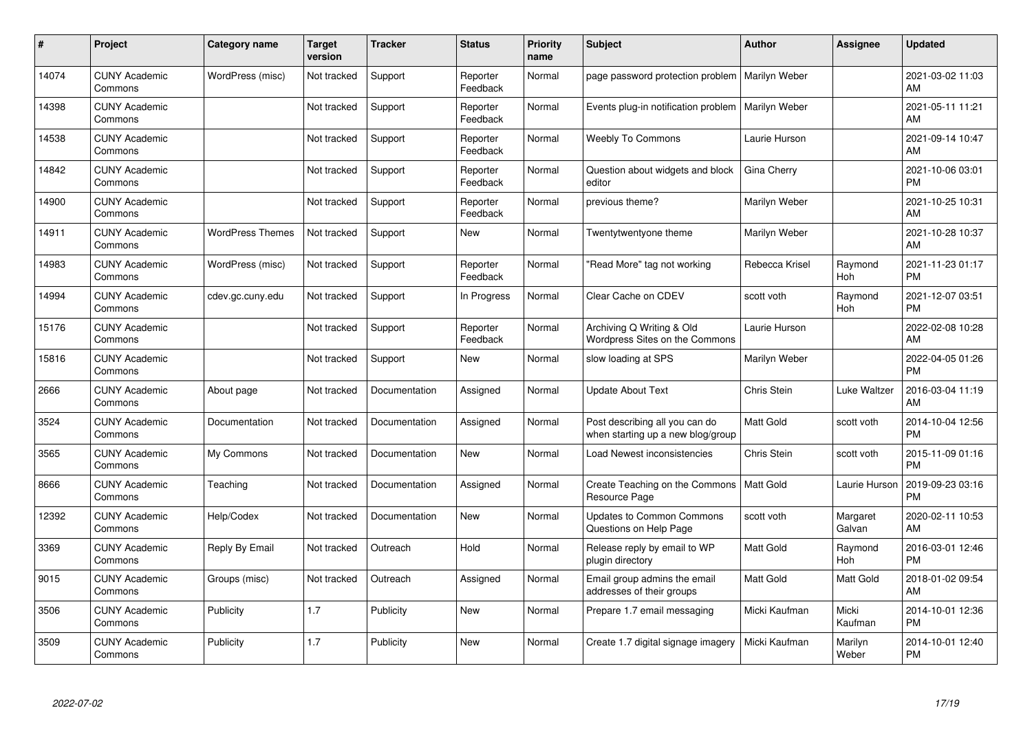| #     | Project                         | <b>Category name</b>    | <b>Target</b><br>version | <b>Tracker</b> | <b>Status</b>        | <b>Priority</b><br>name | <b>Subject</b>                                                      | <b>Author</b>    | <b>Assignee</b>    | <b>Updated</b>                |
|-------|---------------------------------|-------------------------|--------------------------|----------------|----------------------|-------------------------|---------------------------------------------------------------------|------------------|--------------------|-------------------------------|
| 14074 | <b>CUNY Academic</b><br>Commons | WordPress (misc)        | Not tracked              | Support        | Reporter<br>Feedback | Normal                  | page password protection problem                                    | Marilyn Weber    |                    | 2021-03-02 11:03<br>AM        |
| 14398 | <b>CUNY Academic</b><br>Commons |                         | Not tracked              | Support        | Reporter<br>Feedback | Normal                  | Events plug-in notification problem   Marilyn Weber                 |                  |                    | 2021-05-11 11:21<br>AM        |
| 14538 | <b>CUNY Academic</b><br>Commons |                         | Not tracked              | Support        | Reporter<br>Feedback | Normal                  | <b>Weebly To Commons</b>                                            | Laurie Hurson    |                    | 2021-09-14 10:47<br>AM        |
| 14842 | <b>CUNY Academic</b><br>Commons |                         | Not tracked              | Support        | Reporter<br>Feedback | Normal                  | Question about widgets and block<br>editor                          | Gina Cherry      |                    | 2021-10-06 03:01<br><b>PM</b> |
| 14900 | <b>CUNY Academic</b><br>Commons |                         | Not tracked              | Support        | Reporter<br>Feedback | Normal                  | previous theme?                                                     | Marilyn Weber    |                    | 2021-10-25 10:31<br>AM        |
| 14911 | <b>CUNY Academic</b><br>Commons | <b>WordPress Themes</b> | Not tracked              | Support        | <b>New</b>           | Normal                  | Twentytwentyone theme                                               | Marilyn Weber    |                    | 2021-10-28 10:37<br>AM        |
| 14983 | <b>CUNY Academic</b><br>Commons | WordPress (misc)        | Not tracked              | Support        | Reporter<br>Feedback | Normal                  | "Read More" tag not working                                         | Rebecca Krisel   | Raymond<br>Hoh     | 2021-11-23 01:17<br><b>PM</b> |
| 14994 | <b>CUNY Academic</b><br>Commons | cdev.gc.cuny.edu        | Not tracked              | Support        | In Progress          | Normal                  | Clear Cache on CDEV                                                 | scott voth       | Raymond<br>Hoh     | 2021-12-07 03:51<br><b>PM</b> |
| 15176 | <b>CUNY Academic</b><br>Commons |                         | Not tracked              | Support        | Reporter<br>Feedback | Normal                  | Archiving Q Writing & Old<br>Wordpress Sites on the Commons         | Laurie Hurson    |                    | 2022-02-08 10:28<br>AM        |
| 15816 | <b>CUNY Academic</b><br>Commons |                         | Not tracked              | Support        | New                  | Normal                  | slow loading at SPS                                                 | Marilyn Weber    |                    | 2022-04-05 01:26<br><b>PM</b> |
| 2666  | <b>CUNY Academic</b><br>Commons | About page              | Not tracked              | Documentation  | Assigned             | Normal                  | <b>Update About Text</b>                                            | Chris Stein      | Luke Waltzer       | 2016-03-04 11:19<br>AM        |
| 3524  | <b>CUNY Academic</b><br>Commons | Documentation           | Not tracked              | Documentation  | Assigned             | Normal                  | Post describing all you can do<br>when starting up a new blog/group | <b>Matt Gold</b> | scott voth         | 2014-10-04 12:56<br><b>PM</b> |
| 3565  | <b>CUNY Academic</b><br>Commons | My Commons              | Not tracked              | Documentation  | New                  | Normal                  | Load Newest inconsistencies                                         | Chris Stein      | scott voth         | 2015-11-09 01:16<br><b>PM</b> |
| 8666  | <b>CUNY Academic</b><br>Commons | Teaching                | Not tracked              | Documentation  | Assigned             | Normal                  | Create Teaching on the Commons<br>Resource Page                     | Matt Gold        | Laurie Hurson      | 2019-09-23 03:16<br><b>PM</b> |
| 12392 | <b>CUNY Academic</b><br>Commons | Help/Codex              | Not tracked              | Documentation  | New                  | Normal                  | Updates to Common Commons<br>Questions on Help Page                 | scott voth       | Margaret<br>Galvan | 2020-02-11 10:53<br>AM        |
| 3369  | <b>CUNY Academic</b><br>Commons | Reply By Email          | Not tracked              | Outreach       | Hold                 | Normal                  | Release reply by email to WP<br>plugin directory                    | Matt Gold        | Raymond<br>Hoh     | 2016-03-01 12:46<br><b>PM</b> |
| 9015  | <b>CUNY Academic</b><br>Commons | Groups (misc)           | Not tracked              | Outreach       | Assigned             | Normal                  | Email group admins the email<br>addresses of their groups           | Matt Gold        | Matt Gold          | 2018-01-02 09:54<br>AM        |
| 3506  | <b>CUNY Academic</b><br>Commons | Publicity               | 1.7                      | Publicity      | New                  | Normal                  | Prepare 1.7 email messaging                                         | Micki Kaufman    | Micki<br>Kaufman   | 2014-10-01 12:36<br><b>PM</b> |
| 3509  | <b>CUNY Academic</b><br>Commons | Publicity               | 1.7                      | Publicity      | <b>New</b>           | Normal                  | Create 1.7 digital signage imagery                                  | Micki Kaufman    | Marilyn<br>Weber   | 2014-10-01 12:40<br><b>PM</b> |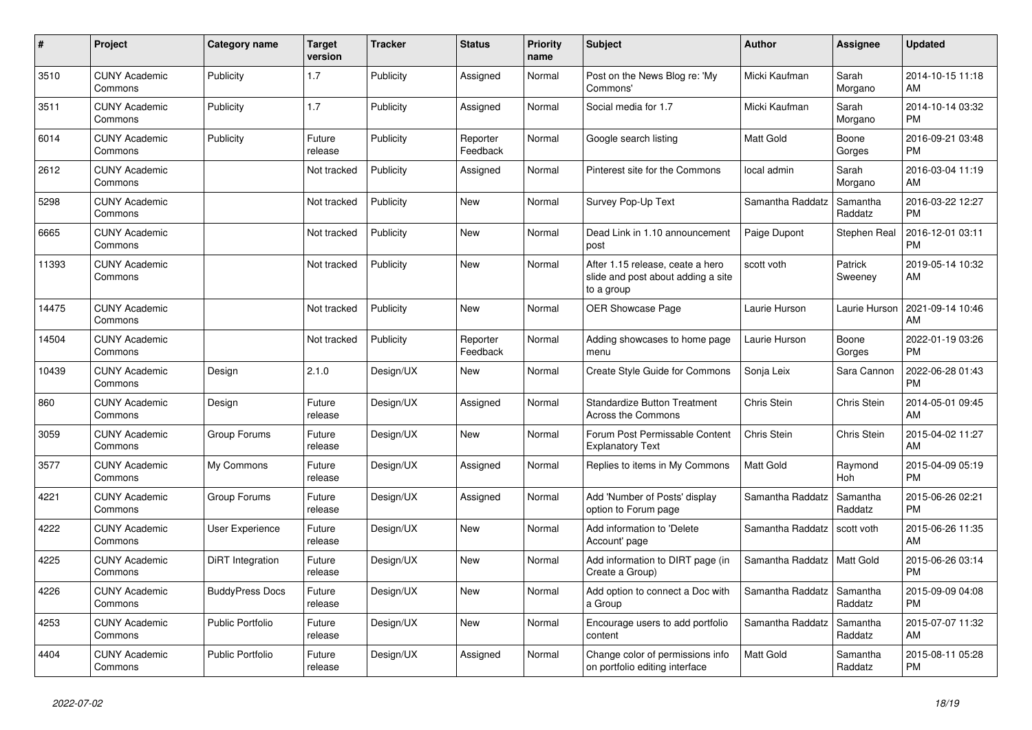| #     | <b>Project</b>                  | Category name           | <b>Target</b><br>version | <b>Tracker</b> | <b>Status</b>        | <b>Priority</b><br>name | <b>Subject</b>                                                                       | <b>Author</b>    | Assignee            | <b>Updated</b>                |
|-------|---------------------------------|-------------------------|--------------------------|----------------|----------------------|-------------------------|--------------------------------------------------------------------------------------|------------------|---------------------|-------------------------------|
| 3510  | <b>CUNY Academic</b><br>Commons | Publicity               | 1.7                      | Publicity      | Assigned             | Normal                  | Post on the News Blog re: 'My<br>Commons'                                            | Micki Kaufman    | Sarah<br>Morgano    | 2014-10-15 11:18<br>AM        |
| 3511  | <b>CUNY Academic</b><br>Commons | Publicity               | 1.7                      | Publicity      | Assigned             | Normal                  | Social media for 1.7                                                                 | Micki Kaufman    | Sarah<br>Morgano    | 2014-10-14 03:32<br><b>PM</b> |
| 6014  | <b>CUNY Academic</b><br>Commons | Publicity               | Future<br>release        | Publicity      | Reporter<br>Feedback | Normal                  | Google search listing                                                                | <b>Matt Gold</b> | Boone<br>Gorges     | 2016-09-21 03:48<br><b>PM</b> |
| 2612  | <b>CUNY Academic</b><br>Commons |                         | Not tracked              | Publicity      | Assigned             | Normal                  | Pinterest site for the Commons                                                       | local admin      | Sarah<br>Morgano    | 2016-03-04 11:19<br>AM        |
| 5298  | <b>CUNY Academic</b><br>Commons |                         | Not tracked              | Publicity      | <b>New</b>           | Normal                  | Survey Pop-Up Text                                                                   | Samantha Raddatz | Samantha<br>Raddatz | 2016-03-22 12:27<br><b>PM</b> |
| 6665  | <b>CUNY Academic</b><br>Commons |                         | Not tracked              | Publicity      | New                  | Normal                  | Dead Link in 1.10 announcement<br>post                                               | Paige Dupont     | Stephen Real        | 2016-12-01 03:11<br><b>PM</b> |
| 11393 | <b>CUNY Academic</b><br>Commons |                         | Not tracked              | Publicity      | <b>New</b>           | Normal                  | After 1.15 release, ceate a hero<br>slide and post about adding a site<br>to a group | scott voth       | Patrick<br>Sweeney  | 2019-05-14 10:32<br>AM        |
| 14475 | <b>CUNY Academic</b><br>Commons |                         | Not tracked              | Publicity      | <b>New</b>           | Normal                  | <b>OER Showcase Page</b>                                                             | Laurie Hurson    | Laurie Hurson       | 2021-09-14 10:46<br>AM        |
| 14504 | <b>CUNY Academic</b><br>Commons |                         | Not tracked              | Publicity      | Reporter<br>Feedback | Normal                  | Adding showcases to home page<br>menu                                                | Laurie Hurson    | Boone<br>Gorges     | 2022-01-19 03:26<br>PM        |
| 10439 | <b>CUNY Academic</b><br>Commons | Design                  | 2.1.0                    | Design/UX      | <b>New</b>           | Normal                  | Create Style Guide for Commons                                                       | Sonja Leix       | Sara Cannon         | 2022-06-28 01:43<br><b>PM</b> |
| 860   | <b>CUNY Academic</b><br>Commons | Design                  | Future<br>release        | Design/UX      | Assigned             | Normal                  | <b>Standardize Button Treatment</b><br><b>Across the Commons</b>                     | Chris Stein      | Chris Stein         | 2014-05-01 09:45<br>AM        |
| 3059  | <b>CUNY Academic</b><br>Commons | Group Forums            | Future<br>release        | Design/UX      | New                  | Normal                  | Forum Post Permissable Content<br><b>Explanatory Text</b>                            | Chris Stein      | <b>Chris Stein</b>  | 2015-04-02 11:27<br>AM        |
| 3577  | <b>CUNY Academic</b><br>Commons | My Commons              | Future<br>release        | Design/UX      | Assigned             | Normal                  | Replies to items in My Commons                                                       | <b>Matt Gold</b> | Raymond<br>Hoh      | 2015-04-09 05:19<br><b>PM</b> |
| 4221  | <b>CUNY Academic</b><br>Commons | Group Forums            | Future<br>release        | Design/UX      | Assigned             | Normal                  | Add 'Number of Posts' display<br>option to Forum page                                | Samantha Raddatz | Samantha<br>Raddatz | 2015-06-26 02:21<br><b>PM</b> |
| 4222  | <b>CUNY Academic</b><br>Commons | User Experience         | Future<br>release        | Design/UX      | New                  | Normal                  | Add information to 'Delete<br>Account' page                                          | Samantha Raddatz | scott voth          | 2015-06-26 11:35<br>AM        |
| 4225  | <b>CUNY Academic</b><br>Commons | <b>DiRT</b> Integration | Future<br>release        | Design/UX      | <b>New</b>           | Normal                  | Add information to DIRT page (in<br>Create a Group)                                  | Samantha Raddatz | Matt Gold           | 2015-06-26 03:14<br><b>PM</b> |
| 4226  | <b>CUNY Academic</b><br>Commons | <b>BuddyPress Docs</b>  | Future<br>release        | Design/UX      | <b>New</b>           | Normal                  | Add option to connect a Doc with<br>a Group                                          | Samantha Raddatz | Samantha<br>Raddatz | 2015-09-09 04:08<br><b>PM</b> |
| 4253  | <b>CUNY Academic</b><br>Commons | <b>Public Portfolio</b> | Future<br>release        | Design/UX      | <b>New</b>           | Normal                  | Encourage users to add portfolio<br>content                                          | Samantha Raddatz | Samantha<br>Raddatz | 2015-07-07 11:32<br>AM        |
| 4404  | <b>CUNY Academic</b><br>Commons | Public Portfolio        | Future<br>release        | Design/UX      | Assigned             | Normal                  | Change color of permissions info<br>on portfolio editing interface                   | <b>Matt Gold</b> | Samantha<br>Raddatz | 2015-08-11 05:28<br><b>PM</b> |